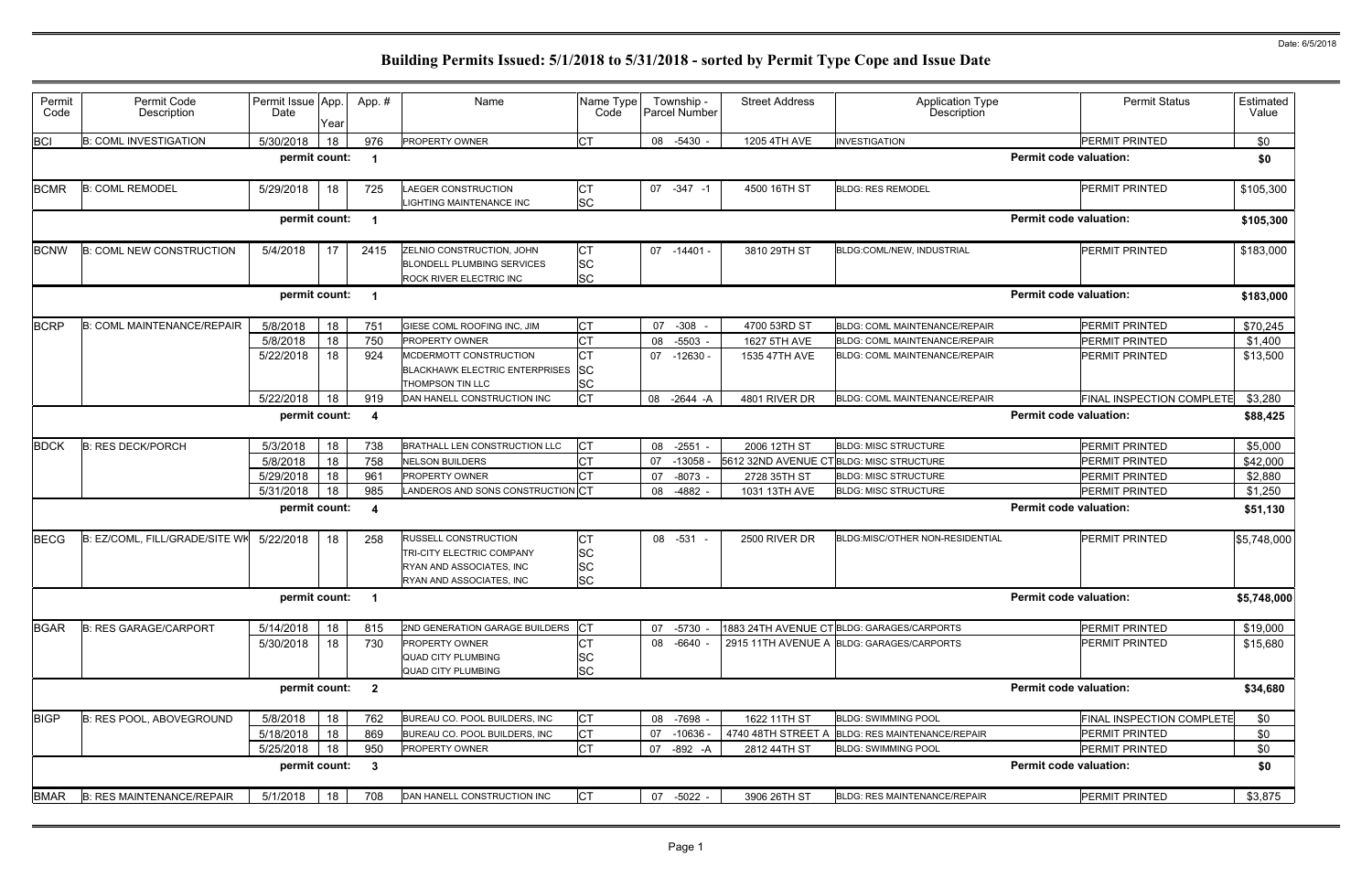|                               | <b>Permit Status</b>          | Estimated<br>Value |  |  |  |  |  |  |  |
|-------------------------------|-------------------------------|--------------------|--|--|--|--|--|--|--|
|                               | PERMIT PRINTED                | \$0                |  |  |  |  |  |  |  |
| <b>Permit code valuation:</b> |                               | \$0                |  |  |  |  |  |  |  |
|                               | PERMIT PRINTED                | \$105,300          |  |  |  |  |  |  |  |
|                               | <b>Permit code valuation:</b> |                    |  |  |  |  |  |  |  |
|                               | \$183,000                     |                    |  |  |  |  |  |  |  |
| <b>Permit code valuation:</b> |                               | \$183,000          |  |  |  |  |  |  |  |
|                               | PERMIT PRINTED                | \$70,245           |  |  |  |  |  |  |  |
|                               | PERMIT PRINTED                | \$1,400            |  |  |  |  |  |  |  |
|                               | PFRMIT PRINTFD                | \$13,500           |  |  |  |  |  |  |  |
|                               | FINAL INSPECTION COMPLETE     | \$3,280            |  |  |  |  |  |  |  |
| <b>Permit code valuation:</b> |                               | \$88,425           |  |  |  |  |  |  |  |
|                               | PERMIT PRINTED                | \$5,000            |  |  |  |  |  |  |  |
|                               | PERMIT PRINTED                | \$42,000           |  |  |  |  |  |  |  |
|                               | PERMIT PRINTED                | \$2,880            |  |  |  |  |  |  |  |
|                               | PERMIT PRINTED                | \$1,250            |  |  |  |  |  |  |  |
| <b>Permit code valuation:</b> |                               | \$51,130           |  |  |  |  |  |  |  |
|                               | PERMIT PRINTED                | \$5,748,000        |  |  |  |  |  |  |  |
| <b>Permit code valuation:</b> |                               | \$5,748,000        |  |  |  |  |  |  |  |
|                               | PERMIT PRINTED                | \$19,000           |  |  |  |  |  |  |  |
|                               | PERMIT PRINTED                | \$15,680           |  |  |  |  |  |  |  |
| <b>Permit code valuation:</b> | \$34,680                      |                    |  |  |  |  |  |  |  |
|                               | FINAL INSPECTION COMPLETE     | \$0                |  |  |  |  |  |  |  |
|                               | PERMIT PRINTED                | \$0                |  |  |  |  |  |  |  |
|                               | PERMIT PRINTED                | \$0                |  |  |  |  |  |  |  |
| <b>Permit code valuation:</b> | \$0                           |                    |  |  |  |  |  |  |  |
|                               | PERMIT PRINTED                | \$3,875            |  |  |  |  |  |  |  |

| Permit<br>Code | Permit Code<br>Description        | Permit Issue App.<br>Date | Year | App.#                   | Name                                                                                                                    | Name Type<br>Code                                | Township -<br>Parcel Number |           | <b>Street Address</b> | Application Type<br>Description            | <b>Permit Status</b>          | Estimated<br>Value |
|----------------|-----------------------------------|---------------------------|------|-------------------------|-------------------------------------------------------------------------------------------------------------------------|--------------------------------------------------|-----------------------------|-----------|-----------------------|--------------------------------------------|-------------------------------|--------------------|
| <b>BCI</b>     | <b>B: COML INVESTIGATION</b>      | 5/30/2018                 | 18   | 976                     | <b>PROPERTY OWNER</b>                                                                                                   | <b>CT</b>                                        | 08 -5430 -                  |           | 1205 4TH AVE          | <b>INVESTIGATION</b>                       | PERMIT PRINTED                | \$0                |
|                |                                   | permit count:             |      | -1                      |                                                                                                                         |                                                  |                             |           |                       |                                            | <b>Permit code valuation:</b> | \$0                |
|                |                                   |                           |      |                         |                                                                                                                         |                                                  |                             |           |                       |                                            |                               |                    |
| <b>BCMR</b>    | <b>B: COML REMODEL</b>            | 5/29/2018                 | 18   | 725                     | AEGER CONSTRUCTION<br>IGHTING MAINTENANCE INC                                                                           | IСТ<br><b>SC</b>                                 | 07 -347 -1                  |           | 4500 16TH ST          | <b>BLDG: RES REMODEL</b>                   | PERMIT PRINTED                | \$105,300          |
|                |                                   | permit count:             |      | -1                      |                                                                                                                         |                                                  |                             |           |                       |                                            | <b>Permit code valuation:</b> | \$105,300          |
| <b>BCNW</b>    | <b>B: COML NEW CONSTRUCTION</b>   | 5/4/2018                  | -17  | 2415                    | ZELNIO CONSTRUCTION, JOHN<br><b>BLONDELL PLUMBING SERVICES</b><br>ROCK RIVER ELECTRIC INC                               | IСТ<br><b>SC</b><br><b>SC</b>                    | 07 -14401 -                 |           | 3810 29TH ST          | BLDG:COML/NEW, INDUSTRIAL                  | <b>PERMIT PRINTED</b>         | \$183,000          |
|                |                                   | permit count:             |      | -1                      |                                                                                                                         |                                                  |                             |           |                       |                                            | <b>Permit code valuation:</b> | \$183,000          |
| <b>BCRP</b>    | <b>B: COML MAINTENANCE/REPAIR</b> | 5/8/2018                  | 18   | 751                     | GIESE COML ROOFING INC, JIM                                                                                             | <b>CT</b>                                        | 07                          | $-308$    | 4700 53RD ST          | BLDG: COML MAINTENANCE/REPAIR              | <b>PERMIT PRINTED</b>         | \$70,245           |
|                |                                   | 5/8/2018                  | 18   | 750                     | <b>PROPERTY OWNER</b>                                                                                                   | Iст                                              | 08                          | -5503     | 1627 5TH AVE          | BLDG: COML MAINTENANCE/REPAIR              | PERMIT PRINTED                | \$1,400            |
|                |                                   | 5/22/2018                 | 18   | 924                     | MCDERMOTT CONSTRUCTION<br><b>BLACKHAWK ELECTRIC ENTERPRISES</b><br><b>THOMPSON TIN LLC</b>                              | <b>CT</b><br><b>SC</b><br><b>SC</b>              | $07 - 12630$                |           | 1535 47TH AVE         | <b>BLDG: COML MAINTENANCE/REPAIR</b>       | PERMIT PRINTED                | \$13,500           |
|                |                                   | 5/22/2018                 | 18   | 919                     | DAN HANELL CONSTRUCTION INC                                                                                             | <b>CT</b>                                        | 08 -2644 -A                 |           | 4801 RIVER DR         | <b>BLDG: COML MAINTENANCE/REPAIR</b>       | FINAL INSPECTION COMPLETE     | \$3,280            |
|                |                                   | permit count:             |      | $\overline{\mathbf{4}}$ |                                                                                                                         |                                                  |                             |           |                       |                                            | <b>Permit code valuation:</b> | \$88,425           |
| <b>BDCK</b>    | <b>B: RES DECK/PORCH</b>          | 5/3/2018                  | 18   | 738                     | BRATHALL LEN CONSTRUCTION LLC                                                                                           | Iст                                              | 08 -2551                    |           | 2006 12TH ST          | <b>BLDG: MISC STRUCTURE</b>                | PERMIT PRINTED                | \$5,000            |
|                |                                   | 5/8/2018                  | 18   | 758                     | <b>NELSON BUILDERS</b>                                                                                                  | <b>CT</b>                                        | 07                          | $-13058$  |                       | 5612 32ND AVENUE CTBLDG: MISC STRUCTURE    | PERMIT PRINTED                | \$42,000           |
|                |                                   | 5/29/2018                 | 18   | 961                     | PROPERTY OWNER                                                                                                          | Iст                                              | 07                          | $-8073$   | 2728 35TH ST          | <b>BLDG: MISC STRUCTURE</b>                | PERMIT PRINTED                | \$2,880            |
|                |                                   | 5/31/2018                 | 18   | 985                     | ANDEROS AND SONS CONSTRUCTION CT                                                                                        |                                                  | 08                          | $-4882 -$ | 1031 13TH AVE         | <b>BLDG: MISC STRUCTURE</b>                | PERMIT PRINTED                | \$1,250            |
|                |                                   | permit count:             |      | $\boldsymbol{4}$        |                                                                                                                         |                                                  |                             |           |                       |                                            | <b>Permit code valuation:</b> | \$51,130           |
| <b>BECG</b>    | B: EZ/COML, FILL/GRADE/SITE WK    | 5/22/2018                 | 18   | 258                     | <b>RUSSELL CONSTRUCTION</b><br><b>TRI-CITY ELECTRIC COMPANY</b><br>RYAN AND ASSOCIATES, INC<br>RYAN AND ASSOCIATES, INC | <b>CT</b><br><b>SC</b><br><b>SC</b><br><b>SC</b> | 08 -531                     |           | 2500 RIVER DR         | BLDG:MISC/OTHER NON-RESIDENTIAL            | <b>PERMIT PRINTED</b>         | \$5,748,000        |
|                |                                   | permit count:             |      | $\overline{\mathbf{1}}$ |                                                                                                                         |                                                  |                             |           |                       |                                            | <b>Permit code valuation:</b> | \$5,748,000        |
| <b>BGAR</b>    | <b>B: RES GARAGE/CARPORT</b>      | 5/14/2018                 | 18   | 815                     | 2ND GENERATION GARAGE BUILDERS                                                                                          | <b>CT</b>                                        | 07 -5730                    |           |                       | 1883 24TH AVENUE CT BLDG: GARAGES/CARPORTS | <b>PERMIT PRINTED</b>         | \$19,000           |
|                |                                   | 5/30/2018                 | 18   | 730                     | <b>PROPERTY OWNER</b><br><b>QUAD CITY PLUMBING</b><br><b>QUAD CITY PLUMBING</b>                                         | <b>CT</b><br><b>SC</b><br><b>SC</b>              | 08 -6640                    |           |                       | 2915 11TH AVENUE A BLDG: GARAGES/CARPORTS  | PERMIT PRINTED                | \$15,680           |
|                |                                   | permit count:             |      | $\overline{\mathbf{2}}$ |                                                                                                                         |                                                  |                             |           |                       |                                            | <b>Permit code valuation:</b> | \$34,680           |
| <b>BIGP</b>    | B: RES POOL, ABOVEGROUND          | 5/8/2018                  | 18   | 762                     | BUREAU CO. POOL BUILDERS, INC                                                                                           | <b>CT</b>                                        | 08 -7698                    |           | 1622 11TH ST          | <b>BLDG: SWIMMING POOL</b>                 | FINAL INSPECTION COMPLETE     | \$0                |
|                |                                   | 5/18/2018                 | 18   | 869                     | BUREAU CO. POOL BUILDERS, INC                                                                                           | <b>CT</b>                                        | 07                          | -10636    | 4740 48TH STREET A    | BLDG: RES MAINTENANCE/REPAIR               | PERMIT PRINTED                | \$0                |
|                |                                   | 5/25/2018                 | 18   | 950                     | PROPERTY OWNER                                                                                                          | <b>CT</b>                                        | 07                          | -892 -A   | 2812 44TH ST          | <b>BLDG: SWIMMING POOL</b>                 | PERMIT PRINTED                | \$0                |
|                |                                   | permit count:             |      | $\mathbf{3}$            |                                                                                                                         |                                                  |                             |           |                       |                                            | <b>Permit code valuation:</b> | \$0                |
| <b>BMAR</b>    | <b>B: RES MAINTENANCE/REPAIR</b>  | 5/1/2018                  | 18   | 708                     | DAN HANELL CONSTRUCTION INC                                                                                             | <b>CT</b>                                        | 07 -5022                    |           | 3906 26TH ST          | <b>BLDG: RES MAINTENANCE/REPAIR</b>        | PERMIT PRINTED                | \$3,875            |
|                |                                   |                           |      |                         |                                                                                                                         |                                                  |                             |           |                       |                                            |                               |                    |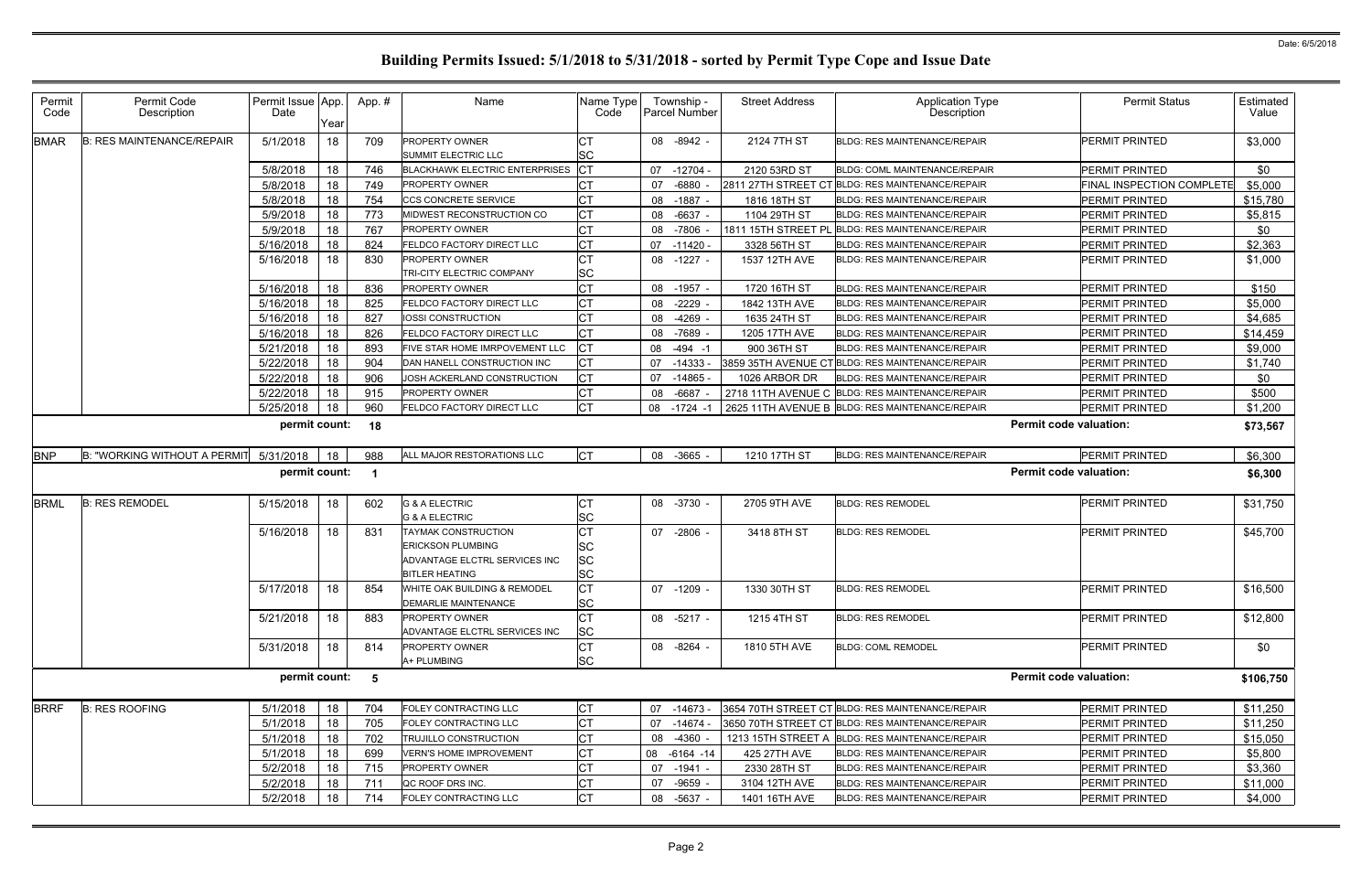| Permit<br>Code | Permit Code<br>Description       | Permit Issue App.<br>Date | Year | App. # | Name                                                        | Name Type<br>Code      | Township -<br><b>Parcel Number</b> | <b>Street Address</b>         | Application Type<br>Description                  | <b>Permit Status</b>                    | Estimated<br>Value  |
|----------------|----------------------------------|---------------------------|------|--------|-------------------------------------------------------------|------------------------|------------------------------------|-------------------------------|--------------------------------------------------|-----------------------------------------|---------------------|
| <b>BMAR</b>    | <b>B: RES MAINTENANCE/REPAIR</b> | 5/1/2018                  | 18   | 709    | <b>PROPERTY OWNER</b><br><b>SUMMIT ELECTRIC LLC</b>         | <b>SC</b>              | 08 -8942 -                         | 2124 7TH ST                   | <b>BLDG: RES MAINTENANCE/REPAIR</b>              | <b>PERMIT PRINTED</b>                   | \$3,000             |
|                |                                  | 5/8/2018                  | 18   | 746    | BLACKHAWK ELECTRIC ENTERPRISES CT                           |                        | $-12704$<br>07                     | 2120 53RD ST                  | <b>BLDG: COML MAINTENANCE/REPAIR</b>             | PERMIT PRINTED                          | \$0                 |
|                |                                  | 5/8/2018                  | 18   | 749    | <b>PROPERTY OWNER</b>                                       | IСТ                    | 07<br>-6880                        | 2811 27TH STREET CT           | <b>BLDG: RES MAINTENANCE/REPAIR</b>              | FINAL INSPECTION COMPLETE               | \$5,000             |
|                |                                  | 5/8/2018                  | 18   | 754    | CCS CONCRETE SERVICE                                        | <b>CT</b>              | $-1887$<br>08                      | 1816 18TH ST                  | <b>BLDG: RES MAINTENANCE/REPAIR</b>              | PERMIT PRINTED                          | \$15,780            |
|                |                                  | 5/9/2018                  | 18   | 773    | MIDWEST RECONSTRUCTION CO                                   | <b>CT</b>              | -6637<br>08                        | 1104 29TH ST                  | <b>BLDG: RES MAINTENANCE/REPAIR</b>              | <b>PERMIT PRINTED</b>                   | \$5,815             |
|                |                                  | 5/9/2018                  | 18   | 767    | <b>PROPERTY OWNER</b>                                       | <b>CT</b>              | $-7806$<br>08                      | 1811 15TH STREET PL           | <b>BLDG: RES MAINTENANCE/REPAIR</b>              | <b>PERMIT PRINTED</b>                   | \$0                 |
|                |                                  | 5/16/2018                 | 18   | 824    | FELDCO FACTORY DIRECT LLC                                   | <b>CT</b>              | $-11420$<br>07                     | 3328 56TH ST                  | <b>BLDG: RES MAINTENANCE/REPAIR</b>              | PERMIT PRINTED                          | \$2,363             |
|                |                                  | 5/16/2018                 | 18   | 830    | <b>PROPERTY OWNER</b><br><b>TRI-CITY ELECTRIC COMPANY</b>   | <b>CT</b><br><b>SC</b> | 08 -1227 -                         | 1537 12TH AVE                 | <b>BLDG: RES MAINTENANCE/REPAIR</b>              | <b>PERMIT PRINTED</b>                   | \$1,000             |
|                |                                  | 5/16/2018                 | 18   | 836    | <b>PROPERTY OWNER</b>                                       | <b>CT</b>              | 08 -1957                           | 1720 16TH ST                  | <b>BLDG: RES MAINTENANCE/REPAIR</b>              | <b>PERMIT PRINTED</b>                   | \$150               |
|                |                                  | 5/16/2018                 | 18   | 825    | FELDCO FACTORY DIRECT LLC                                   | <b>CT</b>              | $-2229$<br>08                      | 1842 13TH AVE                 | <b>BLDG: RES MAINTENANCE/REPAIR</b>              | <b>PERMIT PRINTED</b>                   | \$5,000             |
|                |                                  | 5/16/2018                 | 18   | 827    | <b>IOSSI CONSTRUCTION</b>                                   | <b>CT</b>              | -4269<br>08                        | 1635 24TH ST                  | <b>BLDG: RES MAINTENANCE/REPAIR</b>              | PERMIT PRINTED                          | \$4,685             |
|                |                                  | 5/16/2018                 | 18   | 826    | <b>FELDCO FACTORY DIRECT LLC</b>                            | <b>CT</b>              | 08 -7689                           | 1205 17TH AVE                 | <b>BLDG: RES MAINTENANCE/REPAIR</b>              | <b>PERMIT PRINTED</b>                   | \$14,459            |
|                |                                  | 5/21/2018                 | 18   | 893    | FIVE STAR HOME IMRPOVEMENT LLC                              | <b>CT</b>              | $-494 - 1$<br>08                   | 900 36TH ST                   | <b>BLDG: RES MAINTENANCE/REPAIR</b>              | PERMIT PRINTED                          | \$9,000             |
|                |                                  | 5/22/2018                 | 18   | 904    | DAN HANELL CONSTRUCTION INC                                 | IСТ                    | -14333<br>07                       |                               | 3859 35TH AVENUE CT BLDG: RES MAINTENANCE/REPAIR | <b>PERMIT PRINTED</b>                   | \$1,740             |
|                |                                  | 5/22/2018                 | 18   | 906    | JOSH ACKERLAND CONSTRUCTION                                 | <b>CT</b>              | $-14865$<br>07                     | 1026 ARBOR DR                 | <b>BLDG: RES MAINTENANCE/REPAIR</b>              | PERMIT PRINTED                          | \$0                 |
|                |                                  | 5/22/2018                 | 18   | 915    | <b>PROPERTY OWNER</b>                                       | <b>CT</b>              | 08<br>-6687                        |                               | 2718 11TH AVENUE C BLDG: RES MAINTENANCE/REPAIR  | PERMIT PRINTED                          | \$500               |
|                |                                  | 5/25/2018                 | 18   | 960    | <b>FELDCO FACTORY DIRECT LLC</b>                            | <b>CT</b>              | 08 -1724 -1                        |                               | 2625 11TH AVENUE B BLDG: RES MAINTENANCE/REPAIR  | PERMIT PRINTED                          | \$1,200             |
|                |                                  | permit count:             |      | 18     |                                                             |                        |                                    |                               |                                                  | <b>Permit code valuation:</b>           | \$73,567            |
| <b>BNP</b>     | B: "WORKING WITHOUT A PERMIT     | 5/31/2018                 | 18   | 988    | ALL MAJOR RESTORATIONS LLC                                  | <b>CT</b>              | 08 -3665 -                         | 1210 17TH ST                  | <b>BLDG: RES MAINTENANCE/REPAIR</b>              | PERMIT PRINTED                          | \$6,300             |
|                |                                  | permit count:             |      | -1     |                                                             |                        |                                    |                               |                                                  | <b>Permit code valuation:</b>           | \$6,300             |
| <b>BRML</b>    | <b>B: RES REMODEL</b>            | 5/15/2018                 | 18   | 602    | <b>G &amp; A ELECTRIC</b>                                   | СT                     | 08 -3730 -                         | 2705 9TH AVE                  | <b>BLDG: RES REMODEL</b>                         | <b>PERMIT PRINTED</b>                   | \$31,750            |
|                |                                  |                           |      |        | <b>G &amp; A ELECTRIC</b>                                   | <b>SC</b>              |                                    |                               |                                                  |                                         |                     |
|                |                                  | 5/16/2018                 | 18   | 831    | <b>TAYMAK CONSTRUCTION</b>                                  | IСТ                    | 07 -2806 -                         | 3418 8TH ST                   | <b>BLDG: RES REMODEL</b>                         | <b>PERMIT PRINTED</b>                   | \$45,700            |
|                |                                  |                           |      |        | <b>ERICKSON PLUMBING</b>                                    | SC                     |                                    |                               |                                                  |                                         |                     |
|                |                                  |                           |      |        | ADVANTAGE ELCTRL SERVICES INC                               | <b>SC</b>              |                                    |                               |                                                  |                                         |                     |
|                |                                  |                           |      |        | <b>BITLER HEATING</b>                                       | <b>SC</b>              |                                    |                               |                                                  |                                         |                     |
|                |                                  | 5/17/2018                 | 18   | 854    | WHITE OAK BUILDING & REMODEL<br><b>DEMARLIE MAINTENANCE</b> | <b>CT</b><br><b>SC</b> | 07 -1209 -                         | 1330 30TH ST                  | <b>BLDG: RES REMODEL</b>                         | PERMIT PRINTED                          | \$16,500            |
|                |                                  | 5/21/2018                 | 18   | 883    | <b>PROPERTY OWNER</b><br>ADVANTAGE ELCTRL SERVICES INC      | <b>CT</b><br><b>SC</b> | 08 -5217 -                         | 1215 4TH ST                   | <b>BLDG: RES REMODEL</b>                         | <b>PERMIT PRINTED</b>                   | \$12,800            |
|                |                                  | 5/31/2018                 | 18   | 814    | <b>PROPERTY OWNER</b><br>A+ PLUMBING                        | <b>CT</b><br><b>SC</b> | 08 -8264 -                         | 1810 5TH AVE                  | <b>BLDG: COML REMODEL</b>                        | <b>PERMIT PRINTED</b>                   | \$0                 |
|                |                                  | permit count:             |      | 5      |                                                             |                        |                                    |                               |                                                  | <b>Permit code valuation:</b>           | \$106,750           |
| <b>BRRF</b>    | <b>B: RES ROOFING</b>            | 5/1/2018                  | 18   | 704    | <b>FOLEY CONTRACTING LLC</b>                                | <b>CT</b>              | 07 -14673 -                        |                               | 3654 70TH STREET CT BLDG: RES MAINTENANCE/REPAIR | <b>PERMIT PRINTED</b>                   | \$11,250            |
|                |                                  | 5/1/2018                  | 18   | 705    | <b>FOLEY CONTRACTING LLC</b>                                | <b>CT</b>              | 07 -14674 -                        |                               | 3650 70TH STREET CT BLDG: RES MAINTENANCE/REPAIR | <b>PERMIT PRINTED</b>                   | \$11,250            |
|                |                                  | 5/1/2018                  | 18   | 702    | TRUJILLO CONSTRUCTION                                       | IСТ                    | 08 -4360                           |                               | 1213 15TH STREET A BLDG: RES MAINTENANCE/REPAIR  | PERMIT PRINTED                          | \$15,050            |
|                |                                  |                           |      |        |                                                             |                        |                                    |                               |                                                  |                                         | \$5,800             |
|                |                                  |                           | 18   | 699    | VERN'S HOME IMPROVEMENT                                     |                        |                                    |                               | <b>BLDG: RES MAINTENANCE/REPAIR</b>              |                                         |                     |
|                |                                  | 5/1/2018                  | 18   | 715    | <b>PROPERTY OWNER</b>                                       | <b>CT</b>              | 08 -6164 -14                       | 425 27TH AVE                  | <b>BLDG: RES MAINTENANCE/REPAIR</b>              | PERMIT PRINTED                          |                     |
|                |                                  | 5/2/2018<br>5/2/2018      | 18   | 711    | QC ROOF DRS INC.                                            | <b>CT</b><br><b>CT</b> | 07 -1941 -<br>07 -9659             | 2330 28TH ST<br>3104 12TH AVE | <b>BLDG: RES MAINTENANCE/REPAIR</b>              | PERMIT PRINTED<br><b>PERMIT PRINTED</b> | \$3,360<br>\$11,000 |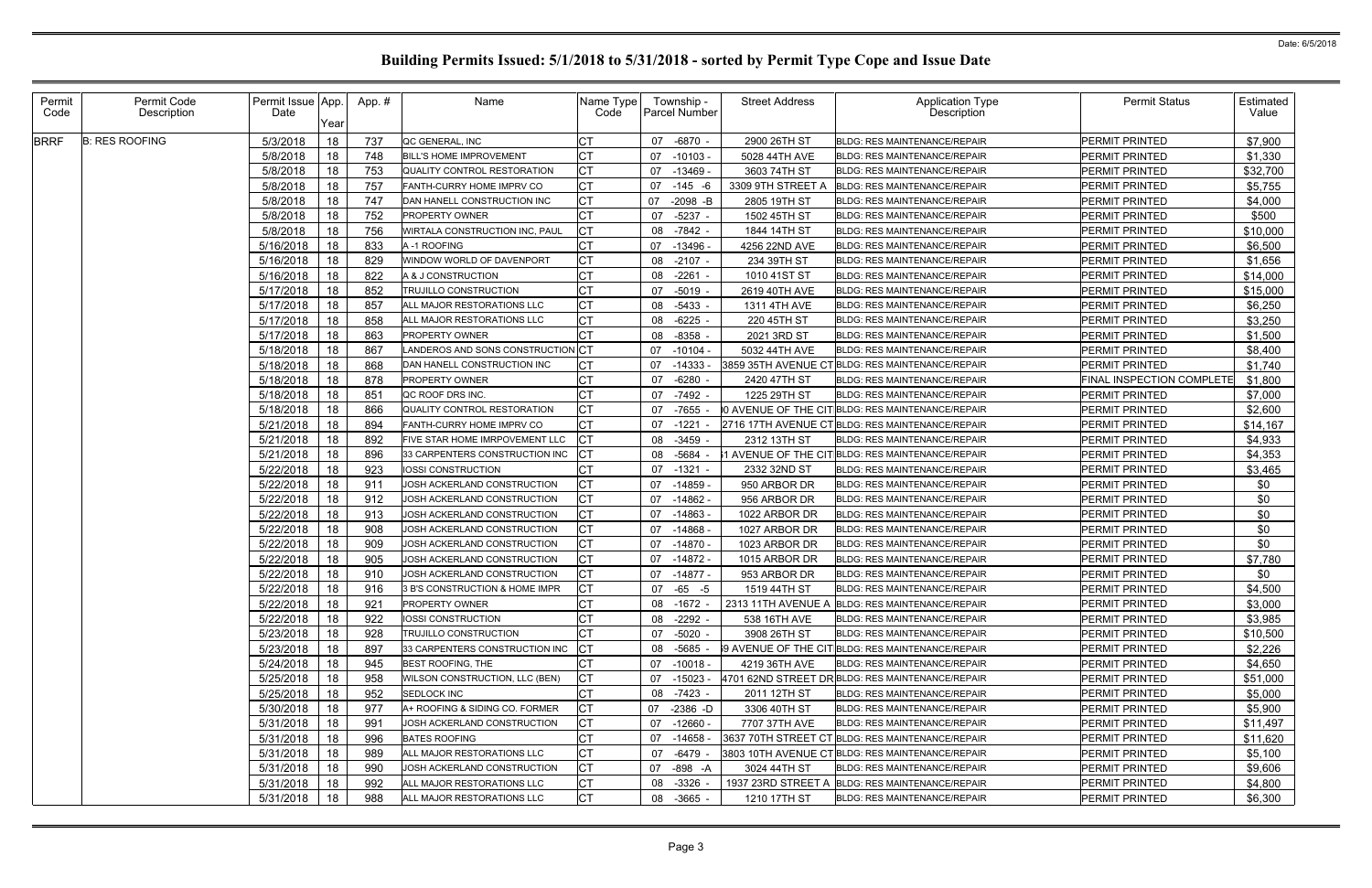| Permit<br>Code | Permit Code<br>Description | Permit Issue App.<br>Date | Year | App. # | Name                               | Name Type<br>Code | Township -<br><b>Parcel Number</b> | <b>Street Address</b> | <b>Application Type</b><br><b>Description</b>    | <b>Permit Status</b>      | Estimated<br>Value |
|----------------|----------------------------|---------------------------|------|--------|------------------------------------|-------------------|------------------------------------|-----------------------|--------------------------------------------------|---------------------------|--------------------|
| <b>BRRF</b>    | <b>B: RES ROOFING</b>      | 5/3/2018                  | 18   | 737    | QC GENERAL, INC                    |                   | -6870<br>07                        | 2900 26TH ST          | <b>BLDG: RES MAINTENANCE/REPAIR</b>              | PERMIT PRINTED            | \$7,900            |
|                |                            | 5/8/2018                  | 18   | 748    | <b>BILL'S HOME IMPROVEMENT</b>     | СT                | 07<br>$-10103$ $-$                 | 5028 44TH AVE         | <b>BLDG: RES MAINTENANCE/REPAIR</b>              | PERMIT PRINTED            | \$1,330            |
|                |                            | 5/8/2018                  | 18   | 753    | <b>QUALITY CONTROL RESTORATION</b> | IСТ               | 07 -13469                          | 3603 74TH ST          | <b>BLDG: RES MAINTENANCE/REPAIR</b>              | <b>PERMIT PRINTED</b>     | \$32,700           |
|                |                            | 5/8/2018                  | 18   | 757    | FANTH-CURRY HOME IMPRV CO          | <b>CT</b>         | 07<br>-145 -6                      | 3309 9TH STREET A     | <b>BLDG: RES MAINTENANCE/REPAIR</b>              | PERMIT PRINTED            | \$5,755            |
|                |                            | 5/8/2018                  | 18   | 747    | DAN HANELL CONSTRUCTION INC        | IСТ               | 07<br>$-2098 - B$                  | 2805 19TH ST          | <b>BLDG: RES MAINTENANCE/REPAIR</b>              | PERMIT PRINTED            | \$4,000            |
|                |                            | 5/8/2018                  | 18   | 752    | <b>PROPERTY OWNER</b>              | <b>CT</b>         | $-5237 -$<br>07                    | 1502 45TH ST          | <b>BLDG: RES MAINTENANCE/REPAIR</b>              | PERMIT PRINTED            | \$500              |
|                |                            | 5/8/2018                  | 18   | 756    | WIRTALA CONSTRUCTION INC, PAUL     | СT                | 08 - 7842 -                        | 1844 14TH ST          | <b>BLDG: RES MAINTENANCE/REPAIR</b>              | <b>PERMIT PRINTED</b>     | \$10,000           |
|                |                            | 5/16/2018                 | 18   | 833    | A-1 ROOFING                        | <b>CT</b>         | 07 -13496                          | 4256 22ND AVE         | <b>BLDG: RES MAINTENANCE/REPAIR</b>              | PERMIT PRINTED            | \$6,500            |
|                |                            | 5/16/2018                 | 18   | 829    | WINDOW WORLD OF DAVENPORT          | C <sub>T</sub>    | 08<br>-2107                        | 234 39TH ST           | <b>BLDG: RES MAINTENANCE/REPAIR</b>              | PERMIT PRINTED            | \$1,656            |
|                |                            | 5/16/2018                 | 18   | 822    | A & J CONSTRUCTION                 | <b>CT</b>         | $-2261$<br>08                      | 1010 41ST ST          | <b>BLDG: RES MAINTENANCE/REPAIR</b>              | PERMIT PRINTED            | \$14,000           |
|                |                            | 5/17/2018                 | 18   | 852    | TRUJILLO CONSTRUCTION              | <b>CT</b>         | 07<br>-5019                        | 2619 40TH AVE         | <b>BLDG: RES MAINTENANCE/REPAIR</b>              | PERMIT PRINTED            | \$15,000           |
|                |                            | 5/17/2018                 | 18   | 857    | ALL MAJOR RESTORATIONS LLC         | <b>CT</b>         | 08<br>-5433                        | 1311 4TH AVE          | <b>BLDG: RES MAINTENANCE/REPAIR</b>              | <b>PERMIT PRINTED</b>     | \$6,250            |
|                |                            | 5/17/2018                 | 18   | 858    | ALL MAJOR RESTORATIONS LLC         | <b>CT</b>         | 08<br>-6225                        | 220 45TH ST           | <b>BLDG: RES MAINTENANCE/REPAIR</b>              | PERMIT PRINTED            | \$3,250            |
|                |                            | 5/17/2018                 | 18   | 863    | <b>PROPERTY OWNER</b>              | <b>CT</b>         | 08 -8358                           | 2021 3RD ST           | <b>BLDG: RES MAINTENANCE/REPAIR</b>              | <b>PERMIT PRINTED</b>     | \$1,500            |
|                |                            | 5/18/2018                 | 18   | 867    | LANDEROS AND SONS CONSTRUCTION CT  |                   | 07 -10104                          | 5032 44TH AVE         | <b>BLDG: RES MAINTENANCE/REPAIR</b>              | PERMIT PRINTED            | \$8,400            |
|                |                            | 5/18/2018                 | 18   | 868    | DAN HANELL CONSTRUCTION INC        | СT                | 07 -14333                          | 3859 35TH AVENUE CT   | <b>BLDG: RES MAINTENANCE/REPAIR</b>              | PERMIT PRINTED            | \$1,740            |
|                |                            | 5/18/2018                 | 18   | 878    | PROPERTY OWNER                     | <b>CT</b>         | $-6280$<br>07                      | 2420 47TH ST          | <b>BLDG: RES MAINTENANCE/REPAIR</b>              | FINAL INSPECTION COMPLETE | \$1,800            |
|                |                            | 5/18/2018                 | 18   | 851    | QC ROOF DRS INC.                   | <b>CT</b>         | -7492<br>07                        | 1225 29TH ST          | <b>BLDG: RES MAINTENANCE/REPAIR</b>              | PERMIT PRINTED            | \$7,000            |
|                |                            | 5/18/2018                 | 18   | 866    | QUALITY CONTROL RESTORATION        | <b>CT</b>         | 07<br>-7655                        |                       | 0 AVENUE OF THE CIT BLDG: RES MAINTENANCE/REPAIR | PERMIT PRINTED            | \$2,600            |
|                |                            | 5/21/2018                 | 18   | 894    | FANTH-CURRY HOME IMPRV CO          | <b>CT</b>         | $-1221$<br>07                      |                       | 2716 17TH AVENUE CT BLDG: RES MAINTENANCE/REPAIR | PERMIT PRINTED            | \$14,167           |
|                |                            | 5/21/2018                 | 18   | 892    | FIVE STAR HOME IMRPOVEMENT LLC     | Iст               | $-3459$<br>08                      | 2312 13TH ST          | <b>BLDG: RES MAINTENANCE/REPAIR</b>              | <b>PERMIT PRINTED</b>     | \$4,933            |
|                |                            | 5/21/2018                 | 18   | 896    | 33 CARPENTERS CONSTRUCTION INC     | Iст               | -5684<br>08                        |                       | 1 AVENUE OF THE CIT BLDG: RES MAINTENANCE/REPAIR | PERMIT PRINTED            | \$4,353            |
|                |                            | 5/22/2018                 | 18   | 923    | <b>IOSSI CONSTRUCTION</b>          | СT                | 07 -1321                           | 2332 32ND ST          | <b>BLDG: RES MAINTENANCE/REPAIR</b>              | <b>PERMIT PRINTED</b>     | \$3,465            |
|                |                            | 5/22/2018                 | 18   | 911    | JOSH ACKERLAND CONSTRUCTION        | СT                | 07 -14859                          | 950 ARBOR DR          | BLDG: RES MAINTENANCE/REPAIR                     | PERMIT PRINTED            | \$0                |
|                |                            | 5/22/2018                 | 18   | 912    | JOSH ACKERLAND CONSTRUCTION        | СT                | 07 -14862                          | 956 ARBOR DR          | <b>BLDG: RES MAINTENANCE/REPAIR</b>              | PERMIT PRINTED            | \$0                |
|                |                            | 5/22/2018                 | 18   | 913    | JOSH ACKERLAND CONSTRUCTION        | <b>CT</b>         | $-14863$<br>07                     | 1022 ARBOR DR         | <b>BLDG: RES MAINTENANCE/REPAIR</b>              | PERMIT PRINTED            | \$0                |
|                |                            | 5/22/2018                 | 18   | 908    | JOSH ACKERLAND CONSTRUCTION        | <b>CT</b>         | 07<br>-14868                       | 1027 ARBOR DR         | <b>BLDG: RES MAINTENANCE/REPAIR</b>              | PERMIT PRINTED            | \$0                |
|                |                            | 5/22/2018                 | 18   | 909    | JOSH ACKERLAND CONSTRUCTION        | <b>CT</b>         | 07 -14870                          | 1023 ARBOR DR         | <b>BLDG: RES MAINTENANCE/REPAIR</b>              | PERMIT PRINTED            | \$0                |
|                |                            | 5/22/2018                 | 18   | 905    | JOSH ACKERLAND CONSTRUCTION        |                   | 07<br>-14872 -                     | 1015 ARBOR DR         | <b>BLDG: RES MAINTENANCE/REPAIR</b>              | PERMIT PRINTED            | \$7,780            |
|                |                            | 5/22/2018                 | 18   | 910    | JOSH ACKERLAND CONSTRUCTION        | <b>CT</b>         | 07 -14877 -                        | 953 ARBOR DR          | BLDG: RES MAINTENANCE/REPAIR                     | PERMIT PRINTED            | \$0                |
|                |                            | 5/22/2018 18              |      | 916    | 3 B'S CONSTRUCTION & HOME IMPR     | <b>CT</b>         | 07 -65 -5                          | 1519 44TH ST          | BLDG: RES MAINTENANCE/REPAIR                     | PERMIT PRINTED            | \$4,500            |
|                |                            | 5/22/2018                 | 18   | 921    | <b>PROPERTY OWNER</b>              | СT                | 08 -1672 -                         |                       | 2313 11TH AVENUE A BLDG: RES MAINTENANCE/REPAIR  | <b>PERMIT PRINTED</b>     | \$3,000            |
|                |                            | 5/22/2018                 | 18   | 922    | IOSSI CONSTRUCTION                 | <b>CT</b>         | 08 -2292 -                         | 538 16TH AVE          | <b>BLDG: RES MAINTENANCE/REPAIR</b>              | <b>PERMIT PRINTED</b>     | \$3,985            |
|                |                            | 5/23/2018                 | 18   | 928    | <b>TRUJILLO CONSTRUCTION</b>       | СT                | 07 -5020 -                         | 3908 26TH ST          | <b>BLDG: RES MAINTENANCE/REPAIR</b>              | <b>PERMIT PRINTED</b>     | \$10,500           |
|                |                            | 5/23/2018                 | 18   | 897    | 33 CARPENTERS CONSTRUCTION INC     | <b>CT</b>         | 08 -5685                           |                       | 9 AVENUE OF THE CIT BLDG: RES MAINTENANCE/REPAIR | <b>PERMIT PRINTED</b>     | \$2,226            |
|                |                            | 5/24/2018                 | 18   | 945    | <b>BEST ROOFING, THE</b>           | СT                | 07 -10018 -                        | 4219 36TH AVE         | <b>BLDG: RES MAINTENANCE/REPAIR</b>              | <b>PERMIT PRINTED</b>     | \$4,650            |
|                |                            | 5/25/2018                 | 18   | 958    | WILSON CONSTRUCTION, LLC (BEN)     | Iст               | 07 -15023                          |                       | 4701 62ND STREET DR BLDG: RES MAINTENANCE/REPAIR | <b>PERMIT PRINTED</b>     | \$51,000           |
|                |                            | 5/25/2018                 | 18   | 952    | SEDLOCK INC                        | <b>CT</b>         | 08 - 7423 -                        | 2011 12TH ST          | <b>BLDG: RES MAINTENANCE/REPAIR</b>              | PERMIT PRINTED            | \$5,000            |
|                |                            | 5/30/2018                 | 18   | 977    | A+ ROOFING & SIDING CO. FORMER     | СT                | 07 -2386 -D                        | 3306 40TH ST          | <b>BLDG: RES MAINTENANCE/REPAIR</b>              | <b>PERMIT PRINTED</b>     | \$5,900            |
|                |                            | 5/31/2018                 | 18   | 991    | JOSH ACKERLAND CONSTRUCTION        | <b>CT</b>         | 07 -12660 -                        | 7707 37TH AVE         | <b>BLDG: RES MAINTENANCE/REPAIR</b>              | <b>PERMIT PRINTED</b>     | \$11,497           |
|                |                            | 5/31/2018                 | 18   | 996    | <b>BATES ROOFING</b>               | <b>CT</b>         | $07 - 14658$                       |                       | 3637 70TH STREET CT BLDG: RES MAINTENANCE/REPAIR | <b>PERMIT PRINTED</b>     | \$11,620           |
|                |                            | 5/31/2018                 | 18   | 989    | ALL MAJOR RESTORATIONS LLC         | <b>CT</b>         | 07 -6479                           |                       | 3803 10TH AVENUE CT BLDG: RES MAINTENANCE/REPAIR | PERMIT PRINTED            | \$5,100            |
|                |                            | 5/31/2018                 | 18   | 990    | JOSH ACKERLAND CONSTRUCTION        | <b>CT</b>         | 07 -898 -A                         | 3024 44TH ST          | <b>BLDG: RES MAINTENANCE/REPAIR</b>              | <b>PERMIT PRINTED</b>     | \$9,606            |
|                |                            | 5/31/2018                 | 18   | 992    | ALL MAJOR RESTORATIONS LLC         | <b>CT</b>         | -3326<br>08                        | 1937 23RD STREET A    | <b>BLDG: RES MAINTENANCE/REPAIR</b>              | PERMIT PRINTED            | \$4,800            |
|                |                            | 5/31/2018                 | 18   | 988    | ALL MAJOR RESTORATIONS LLC         | <b>CT</b>         | $-3665$ .<br>08                    | 1210 17TH ST          | <b>BLDG: RES MAINTENANCE/REPAIR</b>              | PERMIT PRINTED            | \$6,300            |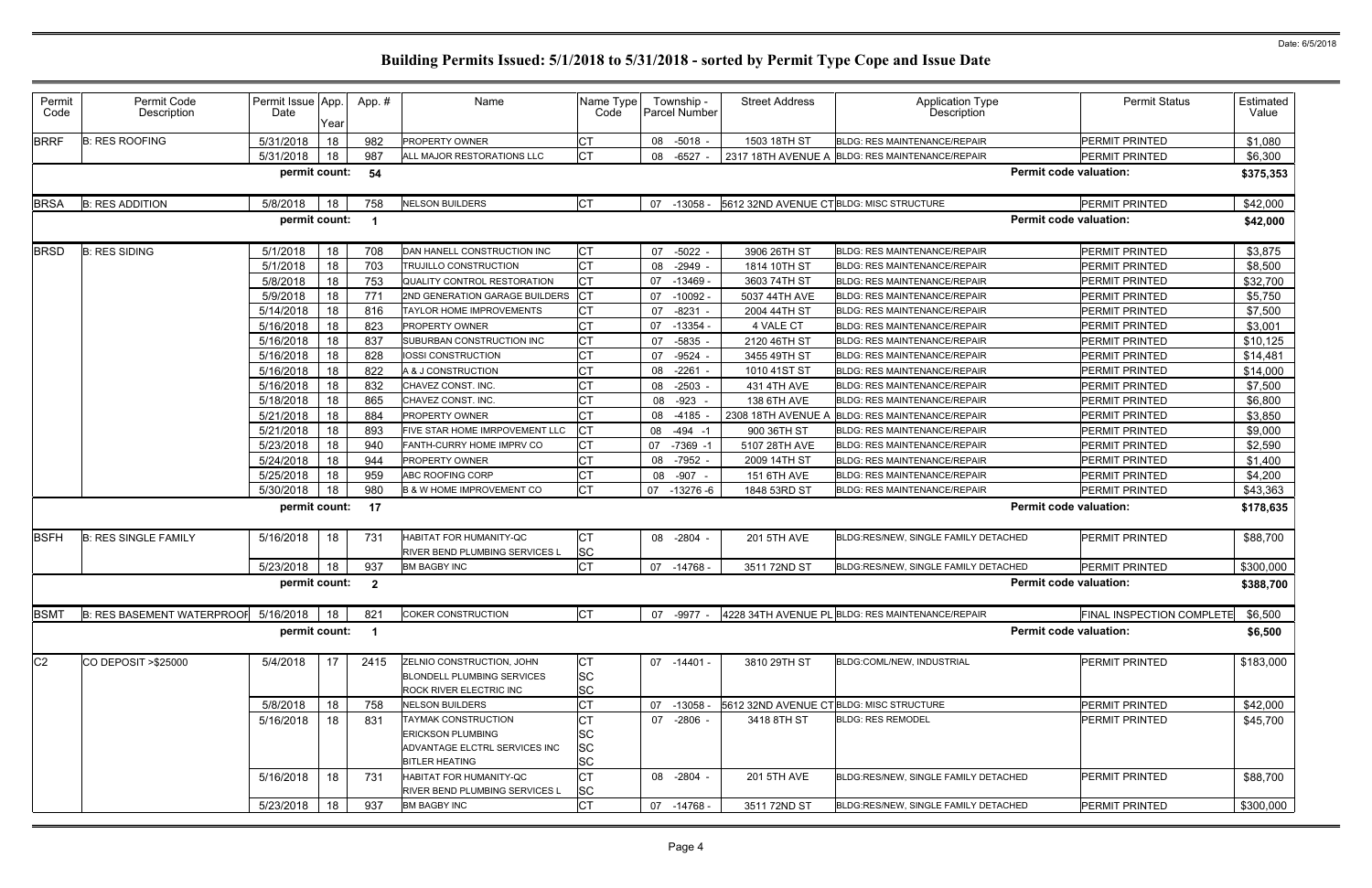| Permit<br>Code | Permit Code<br>Description        | Permit Issue App.<br>Date | Year | App.#          | Name                                                      | Name Type<br>Code      | Township -<br><b>Parcel Number</b> | <b>Street Address</b>                    | <b>Application Type</b><br><b>Description</b>    | <b>Permit Status</b>             | Estimated<br>Value |
|----------------|-----------------------------------|---------------------------|------|----------------|-----------------------------------------------------------|------------------------|------------------------------------|------------------------------------------|--------------------------------------------------|----------------------------------|--------------------|
| <b>BRRF</b>    | <b>B: RES ROOFING</b>             | 5/31/2018                 | 18   | 982            | <b>PROPERTY OWNER</b>                                     | C <sub>1</sub>         | 08 -5018                           | 1503 18TH ST                             | <b>BLDG: RES MAINTENANCE/REPAIR</b>              | PERMIT PRINTED                   | \$1,080            |
|                |                                   | 5/31/2018                 | 18   | 987            | ALL MAJOR RESTORATIONS LLC                                | <b>CT</b>              | 08<br>-6527                        |                                          | 2317 18TH AVENUE A BLDG: RES MAINTENANCE/REPAIR  | <b>PERMIT PRINTED</b>            | \$6,300            |
|                |                                   | permit count:             |      | 54             |                                                           |                        |                                    |                                          |                                                  | <b>Permit code valuation:</b>    | \$375,353          |
| <b>BRSA</b>    | <b>B: RES ADDITION</b>            | 5/8/2018                  | 18   | 758            | <b>NELSON BUILDERS</b>                                    | <b>CT</b>              | 07 -13058 -                        | 5612 32ND AVENUE CT BLDG: MISC STRUCTURE |                                                  | PERMIT PRINTED                   | \$42,000           |
|                |                                   | permit count:             |      | - 1            |                                                           |                        |                                    |                                          |                                                  | <b>Permit code valuation:</b>    | \$42,000           |
| <b>BRSD</b>    | <b>B: RES SIDING</b>              | 5/1/2018                  | 18   | 708            | DAN HANELL CONSTRUCTION INC                               | CТ                     | 07 -5022                           | 3906 26TH ST                             | <b>BLDG: RES MAINTENANCE/REPAIR</b>              | <b>PERMIT PRINTED</b>            | \$3,875            |
|                |                                   | 5/1/2018                  | 18   | 703            | <b>TRUJILLO CONSTRUCTION</b>                              | <b>CT</b>              | 08 -2949                           | 1814 10TH ST                             | BLDG: RES MAINTENANCE/REPAIR                     | <b>PERMIT PRINTED</b>            | \$8,500            |
|                |                                   | 5/8/2018                  | 18   | 753            | QUALITY CONTROL RESTORATION                               | СT                     | 07 -13469                          | 3603 74TH ST                             | BLDG: RES MAINTENANCE/REPAIR                     | PERMIT PRINTED                   | \$32,700           |
|                |                                   | 5/9/2018                  | 18   | 771            | 2ND GENERATION GARAGE BUILDERS                            | Iст                    | $-10092$<br>07                     | 5037 44TH AVE                            | BLDG: RES MAINTENANCE/REPAIR                     | PERMIT PRINTED                   | \$5,750            |
|                |                                   | 5/14/2018                 | 18   | 816            | <b>TAYLOR HOME IMPROVEMENTS</b>                           | <b>CT</b>              | $-8231$<br>07                      | 2004 44TH ST                             | <b>BLDG: RES MAINTENANCE/REPAIR</b>              | PERMIT PRINTED                   | \$7,500            |
|                |                                   | 5/16/2018                 | 18   | 823            | <b>PROPERTY OWNER</b>                                     | <b>CT</b>              | $-13354$<br>07                     | 4 VALE CT                                | <b>BLDG: RES MAINTENANCE/REPAIR</b>              | <b>PERMIT PRINTED</b>            | \$3,001            |
|                |                                   | 5/16/2018                 | 18   | 837            | SUBURBAN CONSTRUCTION INC                                 | <b>CT</b>              | -5835<br>07                        | 2120 46TH ST                             | <b>BLDG: RES MAINTENANCE/REPAIR</b>              | PERMIT PRINTED                   | \$10,125           |
|                |                                   | 5/16/2018                 | 18   | 828            | <b>IOSSI CONSTRUCTION</b>                                 | <b>CT</b>              | $-9524$<br>07                      | 3455 49TH ST                             | BLDG: RES MAINTENANCE/REPAIR                     | PERMIT PRINTED                   | \$14,481           |
|                |                                   | 5/16/2018                 | 18   | 822            | A & J CONSTRUCTION                                        | СT                     | $-2261$<br>08                      | 1010 41ST ST                             | BLDG: RES MAINTENANCE/REPAIR                     | <b>PERMIT PRINTED</b>            | \$14,000           |
|                |                                   | 5/16/2018                 | 18   | 832            | CHAVEZ CONST. INC.                                        | CТ                     | 08 -2503                           | 431 4TH AVE                              | <b>BLDG: RES MAINTENANCE/REPAIR</b>              | <b>PERMIT PRINTED</b>            | \$7,500            |
|                |                                   | 5/18/2018                 | 18   | 865            | CHAVEZ CONST. INC.                                        | <b>CT</b>              | 08 - 923 -                         | 138 6TH AVE                              | <b>BLDG: RES MAINTENANCE/REPAIR</b>              | <b>PERMIT PRINTED</b>            | \$6,800            |
|                |                                   | 5/21/2018                 | 18   | 884            | <b>PROPERTY OWNER</b>                                     | СT                     | 08 -4185                           | 2308 18TH AVENUE A                       | <b>BLDG: RES MAINTENANCE/REPAIR</b>              | <b>PERMIT PRINTED</b>            | \$3,850            |
|                |                                   | 5/21/2018                 | 18   | 893            | FIVE STAR HOME IMRPOVEMENT LLC                            |                        | $-494 - 1$<br>08                   | 900 36TH ST                              | BLDG: RES MAINTENANCE/REPAIR                     | <b>PERMIT PRINTED</b>            | \$9,000            |
|                |                                   | 5/23/2018                 | 18   | 940            | FANTH-CURRY HOME IMPRV CO                                 | <b>CT</b>              | 07<br>-7369 -1                     | 5107 28TH AVE                            | <b>BLDG: RES MAINTENANCE/REPAIR</b>              | <b>PERMIT PRINTED</b>            | \$2,590            |
|                |                                   | 5/24/2018                 | 18   | 944            | <b>PROPERTY OWNER</b>                                     | <b>CT</b>              | 08 -7952                           | 2009 14TH ST                             | <b>BLDG: RES MAINTENANCE/REPAIR</b>              | <b>PERMIT PRINTED</b>            | \$1,400            |
|                |                                   | 5/25/2018                 | 18   | 959            | ABC ROOFING CORP                                          | СT                     | -907 -<br>08                       | 151 6TH AVE                              | BLDG: RES MAINTENANCE/REPAIR                     | PERMIT PRINTED                   | \$4,200            |
|                |                                   | 5/30/2018                 | 18   | 980            | <b>B &amp; W HOME IMPROVEMENT CO</b>                      | <b>CT</b>              | 07 -13276 -6                       | 1848 53RD ST                             | <b>BLDG: RES MAINTENANCE/REPAIR</b>              | <b>PERMIT PRINTED</b>            | \$43,363           |
|                |                                   | permit count:             |      | 17             |                                                           |                        |                                    |                                          |                                                  | <b>Permit code valuation:</b>    | \$178,635          |
| <b>BSFH</b>    | <b>B: RES SINGLE FAMILY</b>       | 5/16/2018                 | 18   | 731            | HABITAT FOR HUMANITY-QC<br>RIVER BEND PLUMBING SERVICES L | CТ<br>SC               | 08 -2804                           | 201 5TH AVE                              | BLDG:RES/NEW, SINGLE FAMILY DETACHED             | PERMIT PRINTED                   | \$88,700           |
|                |                                   | 5/23/2018                 | 18   | 937            | <b>BM BAGBY INC</b>                                       | <b>CT</b>              | $07 - 14768$                       | 3511 72ND ST                             | BLDG:RES/NEW, SINGLE FAMILY DETACHED             | PERMIT PRINTED                   | \$300,000          |
|                |                                   | permit count:             |      | $\overline{2}$ |                                                           |                        |                                    |                                          |                                                  | <b>Permit code valuation:</b>    | \$388,700          |
| <b>BSMT</b>    | <b>B: RES BASEMENT WATERPROOF</b> | 5/16/2018                 | 18   | 821            | <b>COKER CONSTRUCTION</b>                                 | <b>CT</b>              | 07 -9977 -                         |                                          | 4228 34TH AVENUE PL BLDG: RES MAINTENANCE/REPAIR | <b>FINAL INSPECTION COMPLETE</b> | \$6,500            |
|                |                                   | permit count:             |      | - 1            |                                                           |                        |                                    |                                          |                                                  | <b>Permit code valuation:</b>    | \$6,500            |
| C <sub>2</sub> | CO DEPOSIT > \$25000              | 5/4/2018                  | 17   | 2415           | <b>ZELNIO CONSTRUCTION, JOHN</b>                          | СT                     | 07 -14401 -                        | 3810 29TH ST                             | BLDG:COML/NEW, INDUSTRIAL                        | <b>PERMIT PRINTED</b>            | \$183,000          |
|                |                                   |                           |      |                | <b>BLONDELL PLUMBING SERVICES</b>                         | <b>SC</b>              |                                    |                                          |                                                  |                                  |                    |
|                |                                   |                           |      |                | <b>ROCK RIVER ELECTRIC INC</b>                            | <b>SC</b>              |                                    |                                          |                                                  |                                  |                    |
|                |                                   | 5/8/2018                  | 18   | 758            | <b>NELSON BUILDERS</b>                                    | <b>CT</b>              | 07<br>-13058                       | 5612 32ND AVENUE CTBLDG: MISC STRUCTURE  |                                                  | <b>PERMIT PRINTED</b>            | \$42,000           |
|                |                                   | 5/16/2018                 | 18   | 831            | <b>TAYMAK CONSTRUCTION</b>                                |                        | 07 -2806 -                         | 3418 8TH ST                              | <b>BLDG: RES REMODEL</b>                         | <b>PERMIT PRINTED</b>            | \$45,700           |
|                |                                   |                           |      |                | <b>ERICKSON PLUMBING</b>                                  | SC                     |                                    |                                          |                                                  |                                  |                    |
|                |                                   |                           |      |                | ADVANTAGE ELCTRL SERVICES INC                             | SC                     |                                    |                                          |                                                  |                                  |                    |
|                |                                   |                           |      |                | <b>BITLER HEATING</b>                                     | <b>SC</b>              |                                    |                                          |                                                  |                                  |                    |
|                |                                   | 5/16/2018                 | 18   | 731            | HABITAT FOR HUMANITY-QC<br>RIVER BEND PLUMBING SERVICES L | <b>CT</b><br><b>SC</b> | 08 -2804 -                         | 201 5TH AVE                              | BLDG:RES/NEW, SINGLE FAMILY DETACHED             | <b>PERMIT PRINTED</b>            | \$88,700           |
|                |                                   | 5/23/2018                 | 18   | 937            | <b>BM BAGBY INC</b>                                       | <b>CT</b>              | 07 -14768 -                        | 3511 72ND ST                             | BLDG:RES/NEW, SINGLE FAMILY DETACHED             | <b>PERMIT PRINTED</b>            | \$300,000          |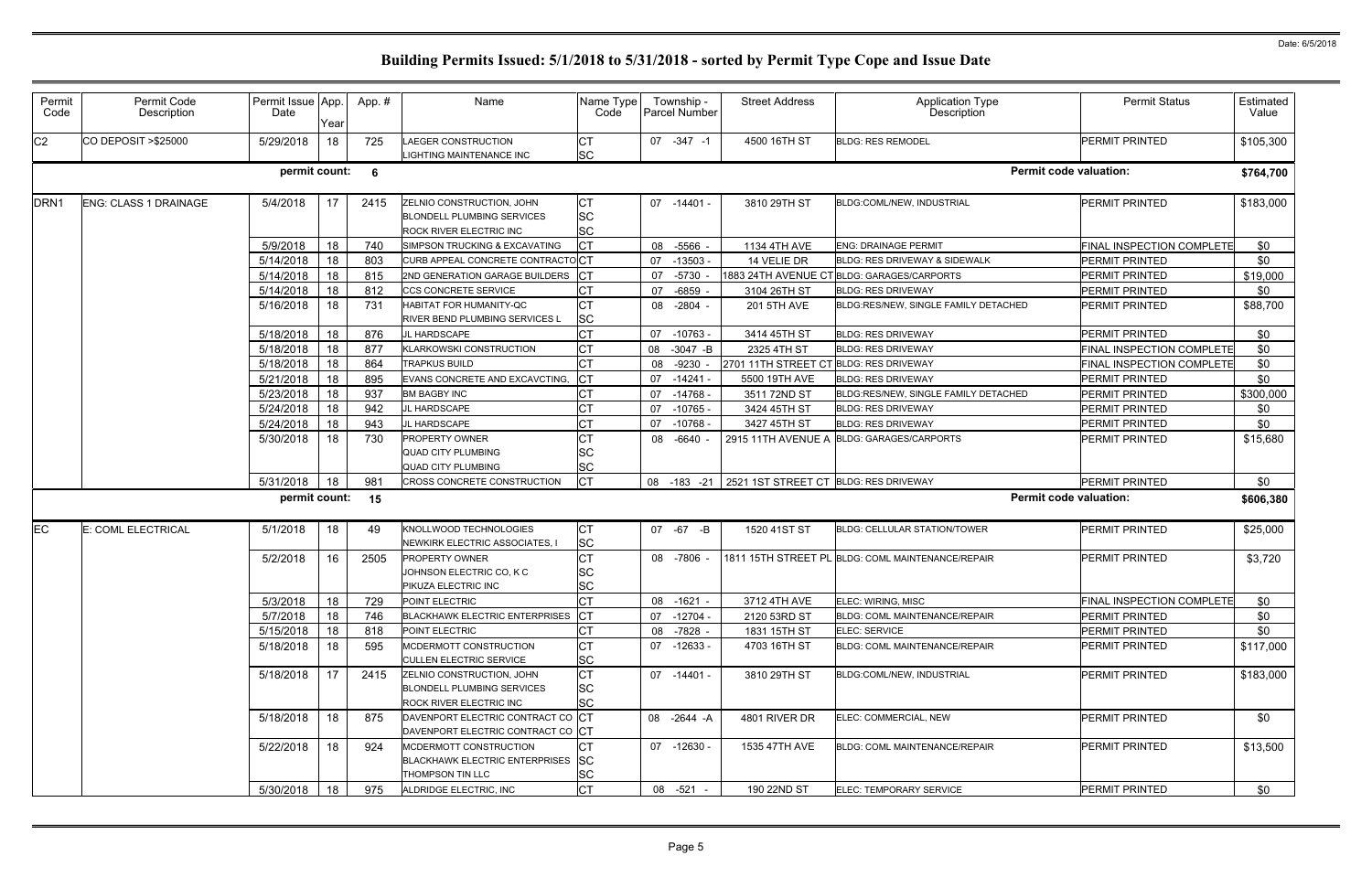| Permit<br>Code   | Permit Code<br>Description   | Permit Issue App.<br>Date | Year | App.# | Name                                                                   | Name Type<br>Code      | Township -<br><b>Parcel Number</b> | <b>Street Address</b>                  | Application Type<br>Description                   | <b>Permit Status</b>             | Estimated<br>Value |
|------------------|------------------------------|---------------------------|------|-------|------------------------------------------------------------------------|------------------------|------------------------------------|----------------------------------------|---------------------------------------------------|----------------------------------|--------------------|
| C <sub>2</sub>   | CO DEPOSIT > \$25000         | 5/29/2018                 | 18   | 725   | LAEGER CONSTRUCTION<br><b>LIGHTING MAINTENANCE INC</b>                 | СT<br><b>SC</b>        | 07 -347 -1                         | 4500 16TH ST                           | <b>BLDG: RES REMODEL</b>                          | <b>PERMIT PRINTED</b>            | \$105,300          |
|                  |                              | permit count:             |      | - 6   |                                                                        |                        |                                    |                                        |                                                   | <b>Permit code valuation:</b>    | \$764,700          |
| DRN <sub>1</sub> | <b>ENG: CLASS 1 DRAINAGE</b> | 5/4/2018                  | 17   | 2415  | <b>ZELNIO CONSTRUCTION, JOHN</b><br><b>BLONDELL PLUMBING SERVICES</b>  | СT<br>SC<br><b>SC</b>  | 07 -14401 -                        | 3810 29TH ST                           | BLDG:COML/NEW, INDUSTRIAL                         | <b>PERMIT PRINTED</b>            | \$183,000          |
|                  |                              | 5/9/2018                  | 18   | 740   | <b>ROCK RIVER ELECTRIC INC</b><br>SIMPSON TRUCKING & EXCAVATING        | <b>CT</b>              | 08 -5566                           | 1134 4TH AVE                           | <b>ENG: DRAINAGE PERMIT</b>                       | FINAL INSPECTION COMPLETE        | \$0                |
|                  |                              | 5/14/2018                 | 18   | 803   | CURB APPEAL CONCRETE CONTRACTOCT                                       |                        | $07 - 13503$                       | 14 VELIE DR                            | BLDG: RES DRIVEWAY & SIDEWALK                     | <b>PERMIT PRINTED</b>            | \$0                |
|                  |                              | 5/14/2018                 | 18   | 815   | 2ND GENERATION GARAGE BUILDERS                                         | IСT                    | $-5730$<br>07                      |                                        | 1883 24TH AVENUE CT BLDG: GARAGES/CARPORTS        | <b>PERMIT PRINTED</b>            | \$19,000           |
|                  |                              | 5/14/2018                 | 18   | 812   | <b>CCS CONCRETE SERVICE</b>                                            | СT                     | -6859<br>07                        | 3104 26TH ST                           | <b>BLDG: RES DRIVEWAY</b>                         | PERMIT PRINTED                   | \$0                |
|                  |                              | 5/16/2018                 | 18   | 731   | HABITAT FOR HUMANITY-QC<br><b>RIVER BEND PLUMBING SERVICES L</b>       | <b>CT</b><br>SC        | 08 -2804 -                         | 201 5TH AVE                            | BLDG:RES/NEW, SINGLE FAMILY DETACHED              | PERMIT PRINTED                   | \$88,700           |
|                  |                              | 5/18/2018                 | 18   | 876   | JL HARDSCAPE                                                           | <b>CT</b>              | 07 -10763 -                        | 3414 45TH ST                           | <b>BLDG: RES DRIVEWAY</b>                         | PERMIT PRINTED                   | \$0                |
|                  |                              | 5/18/2018                 | 18   | 877   | KLARKOWSKI CONSTRUCTION                                                | <b>CT</b>              | 08<br>$-3047 - B$                  | 2325 4TH ST                            | <b>BLDG: RES DRIVEWAY</b>                         | FINAL INSPECTION COMPLETE        | \$0                |
|                  |                              | 5/18/2018                 | 18   | 864   | <b>TRAPKUS BUILD</b>                                                   | <b>CT</b>              | -9230<br>08                        | 2701 11TH STREET CT BLDG: RES DRIVEWAY |                                                   | FINAL INSPECTION COMPLETE        | \$0                |
|                  |                              | 5/21/2018                 | 18   | 895   | EVANS CONCRETE AND EXCAVCTING.                                         | <b>CT</b>              | $-14241$<br>07                     | 5500 19TH AVE                          | <b>BLDG: RES DRIVEWAY</b>                         | PERMIT PRINTED                   | \$0                |
|                  |                              | 5/23/2018                 | 18   | 937   | <b>BM BAGBY INC</b>                                                    | <b>CT</b>              | $07 - 14768$                       | 3511 72ND ST                           | BLDG:RES/NEW, SINGLE FAMILY DETACHED              | PERMIT PRINTED                   | \$300,000          |
|                  |                              | 5/24/2018                 | 18   | 942   | JL HARDSCAPE                                                           | <b>CT</b>              | $-10765$<br>07                     | 3424 45TH ST                           | <b>BLDG: RES DRIVEWAY</b>                         | PERMIT PRINTED                   | \$0                |
|                  |                              | 5/24/2018                 | 18   | 943   | JL HARDSCAPE                                                           | <b>CT</b>              | 07 -10768                          | 3427 45TH ST                           | <b>BLDG: RES DRIVEWAY</b>                         | <b>PERMIT PRINTED</b>            | \$0                |
|                  |                              | 5/30/2018                 | 18   | 730   | <b>PROPERTY OWNER</b>                                                  |                        | 08 -6640                           |                                        | 2915 11TH AVENUE A BLDG: GARAGES/CARPORTS         | PERMIT PRINTED                   | \$15,680           |
|                  |                              |                           |      |       | <b>QUAD CITY PLUMBING</b>                                              | SC                     |                                    |                                        |                                                   |                                  |                    |
|                  |                              |                           |      |       | <b>QUAD CITY PLUMBING</b>                                              | SC                     |                                    |                                        |                                                   |                                  |                    |
|                  |                              | 5/31/2018                 | 18   | 981   | CROSS CONCRETE CONSTRUCTION                                            | <b>CT</b>              | 08 -183 -21                        | 2521 1ST STREET CT BLDG: RES DRIVEWAY  |                                                   | <b>PERMIT PRINTED</b>            | \$0                |
|                  |                              | permit count:             |      | 15    |                                                                        |                        |                                    |                                        |                                                   | <b>Permit code valuation:</b>    | \$606,380          |
| EC               | E: COML ELECTRICAL           | 5/1/2018                  | 18   | 49    | KNOLLWOOD TECHNOLOGIES                                                 | CТ                     | 07 -67 -B                          | 1520 41ST ST                           | <b>BLDG: CELLULAR STATION/TOWER</b>               | <b>PERMIT PRINTED</b>            | \$25,000           |
|                  |                              | 5/2/2018                  |      | 2505  | NEWKIRK ELECTRIC ASSOCIATES, I<br>PROPERTY OWNER                       | <b>SC</b><br><b>CT</b> | 08 -7806                           |                                        | 1811 15TH STREET PL BLDG: COML MAINTENANCE/REPAIR | <b>PERMIT PRINTED</b>            | \$3,720            |
|                  |                              |                           | 16   |       | JOHNSON ELECTRIC CO, K C                                               | SC                     |                                    |                                        |                                                   |                                  |                    |
|                  |                              |                           |      |       | PIKUZA ELECTRIC INC                                                    | <b>SC</b>              |                                    |                                        |                                                   |                                  |                    |
|                  |                              | 5/3/2018                  | 18   | 729   | POINT ELECTRIC                                                         | CT                     | 08 -1621 -                         | 3712 4TH AVE                           | ELEC: WIRING, MISC                                | <b>FINAL INSPECTION COMPLETE</b> | \$0                |
|                  |                              | 5/7/2018                  | 18   | 746   | BLACKHAWK ELECTRIC ENTERPRISES CT                                      |                        | 07 -12704                          | 2120 53RD ST                           | BLDG: COML MAINTENANCE/REPAIR                     | PERMIT PRINTED                   | \$0                |
|                  |                              | 5/15/2018                 | 18   | 818   | <b>POINT ELECTRIC</b>                                                  | <b>CT</b>              | 08 -7828 -                         | 1831 15TH ST                           | ELEC: SERVICE                                     | PERMIT PRINTED                   | \$0                |
|                  |                              | 5/18/2018                 | 18   | 595   | MCDERMOTT CONSTRUCTION                                                 | <b>CT</b>              | 07 -12633 -                        | 4703 16TH ST                           | <b>BLDG: COML MAINTENANCE/REPAIR</b>              | <b>PERMIT PRINTED</b>            | \$117,000          |
|                  |                              |                           |      |       | <b>CULLEN ELECTRIC SERVICE</b>                                         | SC                     |                                    |                                        |                                                   |                                  |                    |
|                  |                              | 5/18/2018                 | 17   | 2415  | ZELNIO CONSTRUCTION, JOHN<br><b>BLONDELL PLUMBING SERVICES</b>         | <b>CT</b><br>SC        | 07 -14401 -                        | 3810 29TH ST                           | BLDG:COML/NEW, INDUSTRIAL                         | <b>PERMIT PRINTED</b>            | \$183,000          |
|                  |                              |                           |      |       | ROCK RIVER ELECTRIC INC                                                | <b>SC</b>              |                                    |                                        |                                                   |                                  |                    |
|                  |                              | 5/18/2018                 | 18   | 875   | DAVENPORT ELECTRIC CONTRACT CO CT<br>DAVENPORT ELECTRIC CONTRACT CO CT |                        | 08 -2644 -A                        | 4801 RIVER DR                          | ELEC: COMMERCIAL, NEW                             | <b>PERMIT PRINTED</b>            | \$0                |
|                  |                              | 5/22/2018                 | 18   | 924   | MCDERMOTT CONSTRUCTION<br>BLACKHAWK ELECTRIC ENTERPRISES SC            | <b>CT</b>              | 07 -12630 -                        | 1535 47TH AVE                          | <b>BLDG: COML MAINTENANCE/REPAIR</b>              | <b>PERMIT PRINTED</b>            | \$13,500           |
|                  |                              |                           |      |       | <b>THOMPSON TIN LLC</b>                                                | SC                     |                                    |                                        |                                                   |                                  |                    |
|                  |                              | 5/30/2018                 | 18   | 975   | ALDRIDGE ELECTRIC, INC                                                 | <b>CT</b>              | 08 -521 -                          | 190 22ND ST                            | ELEC: TEMPORARY SERVICE                           | PERMIT PRINTED                   | \$0                |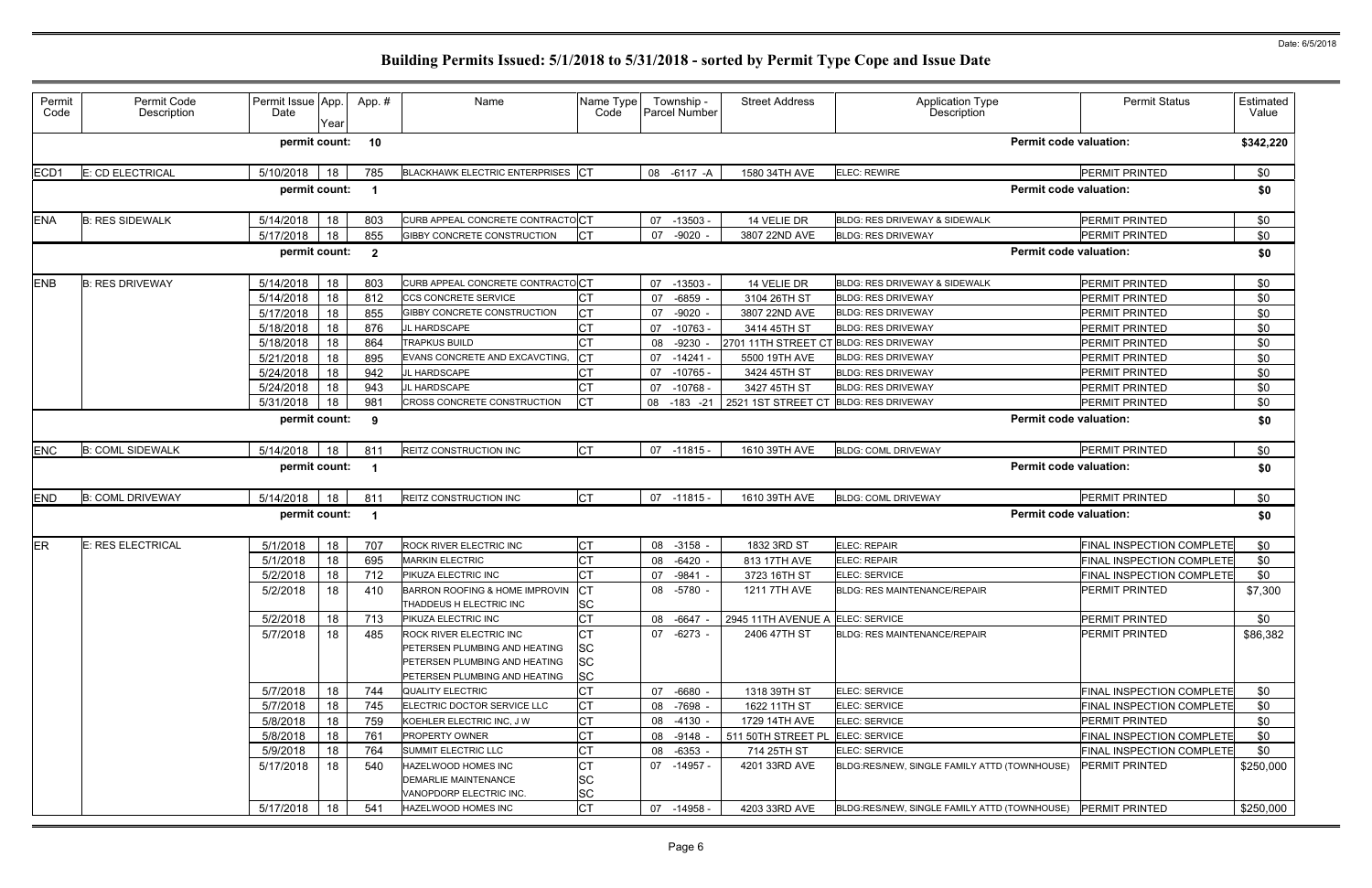| Permit<br>Code | Permit Code<br>Description | Permit Issue App.<br>Date | Year | App. #                  | Name                                                                                                                              | Name Type<br>Code                   | Township -<br><b>Parcel Number</b> | <b>Street Address</b>                  | <b>Application Type</b><br>Description                      | <b>Permit Status</b>      | Estimated<br>Value |
|----------------|----------------------------|---------------------------|------|-------------------------|-----------------------------------------------------------------------------------------------------------------------------------|-------------------------------------|------------------------------------|----------------------------------------|-------------------------------------------------------------|---------------------------|--------------------|
|                |                            | permit count:             |      | 10                      |                                                                                                                                   |                                     |                                    |                                        | <b>Permit code valuation:</b>                               |                           | \$342,220          |
| ECD1           | E: CD ELECTRICAL           | 5/10/2018                 | 18   | 785                     | BLACKHAWK ELECTRIC ENTERPRISES CT                                                                                                 |                                     | 08 -6117 -A                        | 1580 34TH AVE                          | <b>ELEC: REWIRE</b>                                         | PERMIT PRINTED            | \$0                |
|                |                            | permit count:             |      |                         |                                                                                                                                   |                                     |                                    |                                        | <b>Permit code valuation:</b>                               |                           | \$0                |
| <b>ENA</b>     | <b>B: RES SIDEWALK</b>     | 5/14/2018                 | 18   | 803                     | CURB APPEAL CONCRETE CONTRACTOCT                                                                                                  |                                     | 07 -13503                          | 14 VELIE DR                            | BLDG: RES DRIVEWAY & SIDEWALK                               | <b>PERMIT PRINTED</b>     | \$0                |
|                |                            | 5/17/2018                 | 18   | 855                     | <b>GIBBY CONCRETE CONSTRUCTION</b>                                                                                                | <b>ICT</b>                          | 07 -9020                           | 3807 22ND AVE                          | <b>BLDG: RES DRIVEWAY</b>                                   | <b>PERMIT PRINTED</b>     | \$0                |
|                |                            | permit count:             |      | $\overline{\mathbf{2}}$ |                                                                                                                                   |                                     |                                    |                                        | <b>Permit code valuation:</b>                               |                           | \$0                |
| <b>ENB</b>     | <b>B: RES DRIVEWAY</b>     | 5/14/2018                 | 18   | 803                     | CURB APPEAL CONCRETE CONTRACTOCT                                                                                                  |                                     | 07<br>$-13503$                     | 14 VELIE DR                            | BLDG: RES DRIVEWAY & SIDEWALK                               | PERMIT PRINTED            | \$0                |
|                |                            | 5/14/2018                 | 18   | 812                     | <b>CCS CONCRETE SERVICE</b>                                                                                                       | <b>CT</b>                           | -6859<br>07                        | 3104 26TH ST                           | <b>BLDG: RES DRIVEWAY</b>                                   | PERMIT PRINTED            | \$0                |
|                |                            | 5/17/2018                 | 18   | 855                     | GIBBY CONCRETE CONSTRUCTION                                                                                                       | <b>CT</b>                           | $-9020$<br>07                      | 3807 22ND AVE                          | <b>BLDG: RES DRIVEWAY</b>                                   | PERMIT PRINTED            | \$0                |
|                |                            | 5/18/2018                 | 18   | 876                     | JL HARDSCAPE                                                                                                                      | <b>CT</b>                           | 07<br>-10763                       | 3414 45TH ST                           | <b>BLDG: RES DRIVEWAY</b>                                   | <b>PERMIT PRINTED</b>     | \$0                |
|                |                            | 5/18/2018                 | 18   | 864                     | <b>TRAPKUS BUILD</b>                                                                                                              | <b>CT</b>                           | -9230<br>08                        | 2701 11TH STREET CT BLDG: RES DRIVEWAY |                                                             | <b>PERMIT PRINTED</b>     | \$0                |
|                |                            | 5/21/2018                 | 18   | 895                     | EVANS CONCRETE AND EXCAVCTING,                                                                                                    | <b>ICT</b>                          | 07 -14241                          | 5500 19TH AVE                          | <b>BLDG: RES DRIVEWAY</b>                                   | PERMIT PRINTED            | \$0                |
|                |                            | 5/24/2018                 | 18   | 942                     | JL HARDSCAPE                                                                                                                      | СT                                  | 07 -10765                          | 3424 45TH ST                           | <b>BLDG: RES DRIVEWAY</b>                                   | PERMIT PRINTED            | \$0                |
|                |                            | 5/24/2018                 | 18   | 943                     | <b>IL HARDSCAPE</b>                                                                                                               | <b>CT</b>                           | $-10768$<br>07                     | 3427 45TH ST                           | <b>BLDG: RES DRIVEWAY</b>                                   | <b>PERMIT PRINTED</b>     | \$0                |
|                |                            | 5/31/2018                 | 18   | 981                     | CROSS CONCRETE CONSTRUCTION                                                                                                       | <b>ICT</b>                          | 08 -183 -21                        | 2521 1ST STREET CT BLDG: RES DRIVEWAY  |                                                             | PERMIT PRINTED            | \$0                |
|                |                            | permit count:             |      | 9                       |                                                                                                                                   |                                     |                                    |                                        | <b>Permit code valuation:</b>                               |                           | \$0                |
| <b>ENC</b>     | <b>B: COML SIDEWALK</b>    | 5/14/2018                 | 18   | 811                     | REITZ CONSTRUCTION INC                                                                                                            | CT                                  | $07 - 11815$                       | 1610 39TH AVE                          | <b>BLDG: COML DRIVEWAY</b>                                  | <b>PERMIT PRINTED</b>     | \$0                |
|                |                            | permit count:             |      | -1                      |                                                                                                                                   |                                     |                                    |                                        | <b>Permit code valuation:</b>                               |                           | \$0                |
| <b>END</b>     | <b>B: COML DRIVEWAY</b>    | 5/14/2018                 | 18   | 811                     | REITZ CONSTRUCTION INC                                                                                                            | CT                                  | $07 - 11815$                       | 1610 39TH AVE                          | <b>BLDG: COML DRIVEWAY</b>                                  | <b>PERMIT PRINTED</b>     | \$0                |
|                |                            | permit count:             |      | -1                      |                                                                                                                                   |                                     |                                    |                                        | <b>Permit code valuation:</b>                               |                           | \$0                |
| <b>ER</b>      | <b>E: RES ELECTRICAL</b>   | 5/1/2018                  | 18   | 707                     | ROCK RIVER ELECTRIC INC                                                                                                           | <b>CT</b>                           | 08 -3158 -                         | 1832 3RD ST                            | ELEC: REPAIR                                                | FINAL INSPECTION COMPLETE | \$0                |
|                |                            | 5/1/2018                  | 18   | 695                     | <b>MARKIN ELECTRIC</b>                                                                                                            | <b>CT</b>                           | 08 -6420                           | 813 17TH AVE                           | ELEC: REPAIR                                                | FINAL INSPECTION COMPLETE | \$0                |
|                |                            | 5/2/2018                  | 18   | 712                     | PIKUZA ELECTRIC INC                                                                                                               | <b>CT</b>                           | 07 -9841                           | 3723 16TH ST                           | ELEC: SERVICE                                               | FINAL INSPECTION COMPLETE | \$0                |
|                |                            | 5/2/2018                  | 18   | 410                     | BARRON ROOFING & HOME IMPROVIN CT<br>THADDEUS H ELECTRIC INC                                                                      | <b>SC</b>                           | 08 -5780 -                         | 1211 7TH AVE                           | BLDG: RES MAINTENANCE/REPAIR                                | PERMIT PRINTED            | \$7,300            |
|                |                            | 5/2/2018                  | 18   | 713                     | PIKUZA ELECTRIC INC                                                                                                               | <b>CT</b>                           | 08 -6647 -                         | 2945 11TH AVENUE A ELEC: SERVICE       |                                                             | PERMIT PRINTED            | \$0                |
|                |                            | 5/7/2018                  | 18   | 485                     | <b>ROCK RIVER ELECTRIC INC</b><br>PETERSEN PLUMBING AND HEATING<br>PETERSEN PLUMBING AND HEATING<br>PETERSEN PLUMBING AND HEATING | СT<br>SC<br>SC<br><b>SC</b>         | 07 - 6273 -                        | 2406 47TH ST                           | <b>BLDG: RES MAINTENANCE/REPAIR</b>                         | <b>PERMIT PRINTED</b>     | \$86,382           |
|                |                            | 5/7/2018                  | 18   | 744                     | <b>QUALITY ELECTRIC</b>                                                                                                           | <b>CT</b>                           | 07 -6680                           | 1318 39TH ST                           | <b>ELEC: SERVICE</b>                                        | FINAL INSPECTION COMPLETE | \$0                |
|                |                            | 5/7/2018                  | 18   | 745                     | ELECTRIC DOCTOR SERVICE LLC                                                                                                       | <b>CT</b>                           | 08 -7698                           | 1622 11TH ST                           | ELEC: SERVICE                                               | FINAL INSPECTION COMPLETE | \$0                |
|                |                            | 5/8/2018                  | 18   | 759                     | KOEHLER ELECTRIC INC, J W                                                                                                         | <b>CT</b>                           | 08 -4130 -                         | 1729 14TH AVE                          | ELEC: SERVICE                                               | PERMIT PRINTED            | \$0                |
|                |                            | 5/8/2018                  | 18   | 761                     | PROPERTY OWNER                                                                                                                    | <b>CT</b>                           | 08 -9148                           | 511 50TH STREET PL ELEC: SERVICE       |                                                             | FINAL INSPECTION COMPLETE | \$0                |
|                |                            | 5/9/2018                  | 18   | 764                     | SUMMIT ELECTRIC LLC                                                                                                               | <b>CT</b>                           | 08 -6353 -                         | 714 25TH ST                            | ELEC: SERVICE                                               | FINAL INSPECTION COMPLETE | \$0                |
|                |                            | 5/17/2018                 | 18   | 540                     | HAZELWOOD HOMES INC<br><b>DEMARLIE MAINTENANCE</b><br>VANOPDORP ELECTRIC INC.                                                     | <b>CT</b><br><b>SC</b><br><b>SC</b> | 07 -14957 -                        | 4201 33RD AVE                          | BLDG:RES/NEW, SINGLE FAMILY ATTD (TOWNHOUSE)                | <b>PERMIT PRINTED</b>     | \$250,000          |
|                |                            | 5/17/2018                 | 18   | 541                     | <b>HAZELWOOD HOMES INC</b>                                                                                                        | <b>CT</b>                           | 07 -14958 -                        | 4203 33RD AVE                          | BLDG:RES/NEW, SINGLE FAMILY ATTD (TOWNHOUSE) PERMIT PRINTED |                           | \$250,000          |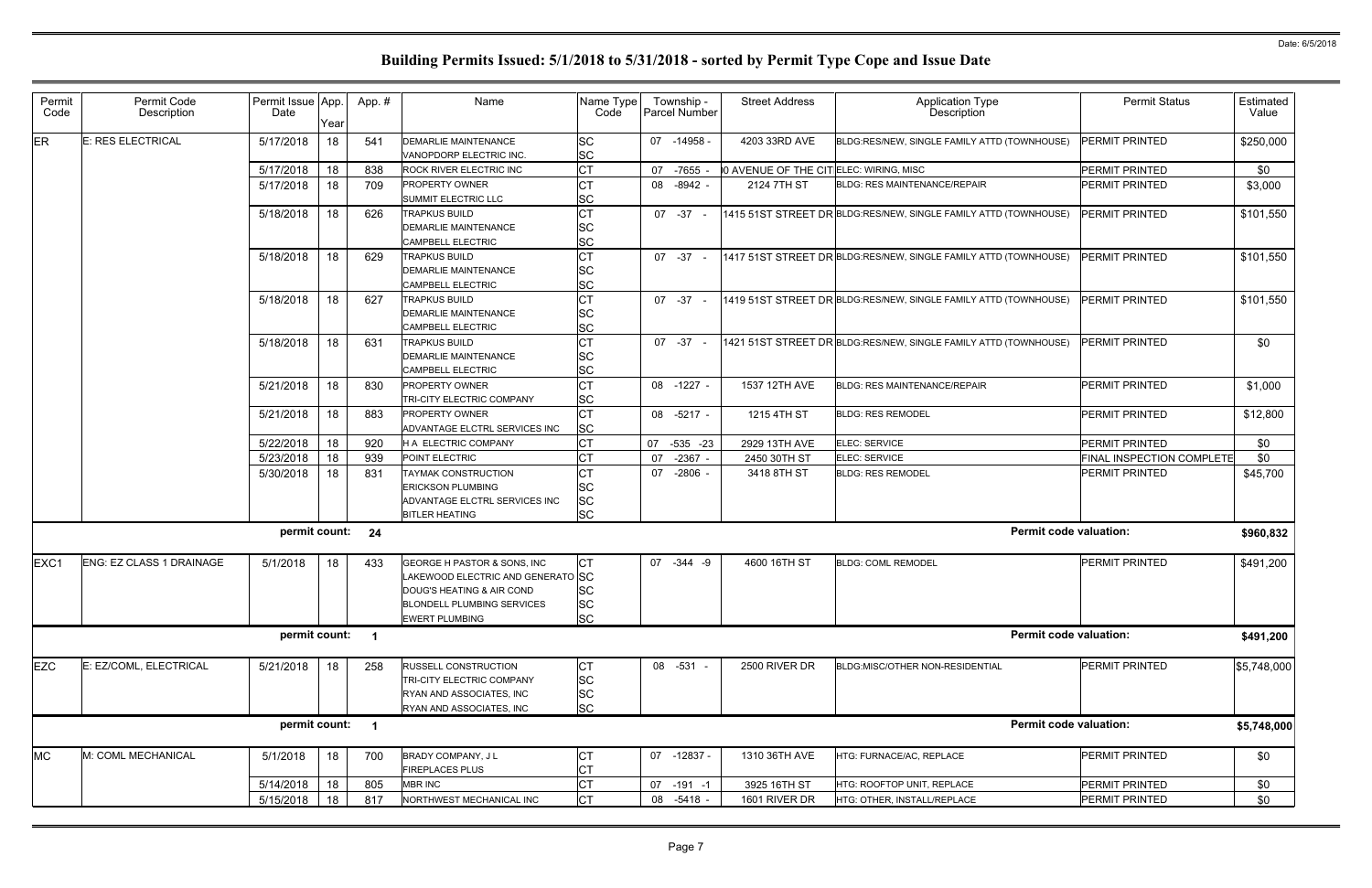|                               | <b>Permit Status</b>      | <b>Estimated</b><br>Value |
|-------------------------------|---------------------------|---------------------------|
| (TOWNHOUSE)                   | <b>PERMIT PRINTED</b>     | \$250,000                 |
|                               | PERMIT PRINTED            | \$0                       |
|                               | <b>PERMIT PRINTED</b>     | \$3,000                   |
|                               |                           |                           |
| (TOWNHOUSE)                   | <b>PERMIT PRINTED</b>     | \$101,550                 |
| (TOWNHOUSE)                   | PERMIT PRINTED            | \$101,550                 |
| (TOWNHOUSE)                   | PERMIT PRINTED            | \$101,550                 |
| (TOWNHOUSE)                   | <b>PERMIT PRINTED</b>     | \$0                       |
|                               | PERMIT PRINTED            | \$1,000                   |
|                               | <b>PERMIT PRINTED</b>     | \$12,800                  |
|                               | PERMIT PRINTED            | \$0                       |
|                               | FINAL INSPECTION COMPLETE | \$0                       |
|                               | <b>PERMIT PRINTED</b>     | \$45,700                  |
|                               |                           |                           |
| <b>Permit code valuation:</b> |                           | \$960,832                 |
|                               | PERMIT PRINTED            | \$491,200                 |
| <b>Permit code valuation:</b> |                           | \$491,200                 |
|                               | PFRMIT PRINTFD            | \$5,748,000               |
| <b>Permit code valuation:</b> |                           | \$5,748,000               |
|                               | PERMIT PRINTED            | \$0                       |
|                               | PERMIT PRINTED            | \$0                       |
|                               | PERMIT PRINTED            | \$0                       |
|                               |                           |                           |

| Permit<br>Code   | Permit Code<br>Description      | Permit Issue App.<br>Date | Year | App.#                   | Name                                                    | Name Type<br>Code |    | Township -<br>Parcel Number | <b>Street Address</b>                  | Application Type<br>Description                                  | <b>Permit Status</b>      | Estimated<br>Value |
|------------------|---------------------------------|---------------------------|------|-------------------------|---------------------------------------------------------|-------------------|----|-----------------------------|----------------------------------------|------------------------------------------------------------------|---------------------------|--------------------|
| <b>ER</b>        | E: RES ELECTRICAL               | 5/17/2018                 | 18   | 541                     | <b>DEMARLIE MAINTENANCE</b><br>VANOPDORP ELECTRIC INC.  | SC<br><b>SC</b>   |    | 07 -14958 -                 | 4203 33RD AVE                          | BLDG:RES/NEW, SINGLE FAMILY ATTD (TOWNHOUSE)                     | PERMIT PRINTED            | \$250,000          |
|                  |                                 | 5/17/2018                 | 18   | 838                     | <b>ROCK RIVER ELECTRIC INC</b>                          | <b>CT</b>         | 07 | -7655                       | 0 AVENUE OF THE CIT ELEC: WIRING, MISC |                                                                  | PERMIT PRINTED            | \$0                |
|                  |                                 | 5/17/2018                 | 18   | 709                     | <b>PROPERTY OWNER</b>                                   | <b>CT</b>         |    | 08 -8942 -                  | 2124 7TH ST                            | <b>BLDG: RES MAINTENANCE/REPAIR</b>                              | PERMIT PRINTED            | \$3,000            |
|                  |                                 |                           |      |                         | SUMMIT ELECTRIC LLC                                     | SC                |    |                             |                                        |                                                                  |                           |                    |
|                  |                                 | 5/18/2018                 | 18   | 626                     | <b>TRAPKUS BUILD</b>                                    |                   |    | 07 -37 -                    |                                        | 1415 51ST STREET DR BLDG:RES/NEW, SINGLE FAMILY ATTD (TOWNHOUSE) | PERMIT PRINTED            | \$101,550          |
|                  |                                 |                           |      |                         | <b>DEMARLIE MAINTENANCE</b><br><b>CAMPBELL ELECTRIC</b> | <b>SC</b>         |    |                             |                                        |                                                                  |                           |                    |
|                  |                                 | 5/18/2018                 | 18   | 629                     | <b>TRAPKUS BUILD</b>                                    | SC<br><b>CT</b>   |    |                             |                                        | 1417 51ST STREET DR BLDG:RES/NEW, SINGLE FAMILY ATTD (TOWNHOUSE) | PERMIT PRINTED            | \$101,550          |
|                  |                                 |                           |      |                         | <b>DEMARLIE MAINTENANCE</b>                             | SC                |    | $07 - 37 -$                 |                                        |                                                                  |                           |                    |
|                  |                                 |                           |      |                         | <b>CAMPBELL ELECTRIC</b>                                | SC                |    |                             |                                        |                                                                  |                           |                    |
|                  |                                 | 5/18/2018                 | 18   | 627                     | <b>TRAPKUS BUILD</b>                                    | <b>CT</b>         |    | 07 -37 -                    |                                        | 1419 51ST STREET DR BLDG:RES/NEW, SINGLE FAMILY ATTD (TOWNHOUSE) | <b>PERMIT PRINTED</b>     | \$101,550          |
|                  |                                 |                           |      |                         | <b>DEMARLIE MAINTENANCE</b>                             | SC                |    |                             |                                        |                                                                  |                           |                    |
|                  |                                 |                           |      |                         | <b>CAMPBELL ELECTRIC</b>                                | SC                |    |                             |                                        |                                                                  |                           |                    |
|                  |                                 | 5/18/2018                 | 18   | 631                     | <b>TRAPKUS BUILD</b>                                    | <b>CT</b>         |    | $07 -37 -$                  |                                        | 1421 51ST STREET DR BLDG:RES/NEW, SINGLE FAMILY ATTD (TOWNHOUSE) | PERMIT PRINTED            | \$0                |
|                  |                                 |                           |      |                         | <b>DEMARLIE MAINTENANCE</b>                             | SC                |    |                             |                                        |                                                                  |                           |                    |
|                  |                                 |                           |      |                         | <b>CAMPBELL ELECTRIC</b>                                | SC                |    |                             |                                        |                                                                  |                           |                    |
|                  |                                 | 5/21/2018                 | 18   | 830                     | <b>PROPERTY OWNER</b>                                   | СT                |    | 08 -1227 -                  | 1537 12TH AVE                          | <b>BLDG: RES MAINTENANCE/REPAIR</b>                              | PERMIT PRINTED            | \$1,000            |
|                  |                                 |                           |      |                         | TRI-CITY ELECTRIC COMPANY                               | <b>SC</b>         |    |                             |                                        |                                                                  |                           |                    |
|                  |                                 | 5/21/2018                 | 18   | 883                     | <b>PROPERTY OWNER</b>                                   | CТ                |    | 08 -5217 -                  | 1215 4TH ST                            | <b>BLDG: RES REMODEL</b>                                         | <b>PERMIT PRINTED</b>     | \$12,800           |
|                  |                                 |                           |      |                         | ADVANTAGE ELCTRL SERVICES INC                           | SC                |    |                             |                                        |                                                                  |                           |                    |
|                  |                                 | 5/22/2018                 | 18   | 920                     | H A ELECTRIC COMPANY                                    | СT                |    | 07 -535 -23                 | 2929 13TH AVE                          | ELEC: SERVICE                                                    | PERMIT PRINTED            | \$0                |
|                  |                                 | 5/23/2018                 | 18   | 939                     | POINT ELECTRIC                                          |                   |    | 07 -2367 -                  | 2450 30TH ST                           | ELEC: SERVICE                                                    | FINAL INSPECTION COMPLETE | \$0                |
|                  |                                 | 5/30/2018                 | 18   | 831                     | <b>TAYMAK CONSTRUCTION</b>                              |                   |    | 07 -2806 -                  | 3418 8TH ST                            | <b>BLDG: RES REMODEL</b>                                         | PERMIT PRINTED            | \$45,700           |
|                  |                                 |                           |      |                         | <b>ERICKSON PLUMBING</b>                                | SC                |    |                             |                                        |                                                                  |                           |                    |
|                  |                                 |                           |      |                         | ADVANTAGE ELCTRL SERVICES INC                           | SC                |    |                             |                                        |                                                                  |                           |                    |
|                  |                                 |                           |      |                         | <b>BITLER HEATING</b>                                   | <b>SC</b>         |    |                             |                                        |                                                                  |                           |                    |
|                  |                                 | permit count:             |      | 24                      |                                                         |                   |    |                             |                                        | <b>Permit code valuation:</b>                                    |                           | \$960,832          |
| EXC <sub>1</sub> | <b>ENG: EZ CLASS 1 DRAINAGE</b> | 5/1/2018                  | 18   | 433                     | GEORGE H PASTOR & SONS, INC                             | IСТ               |    | 07 -344 -9                  | 4600 16TH ST                           | <b>BLDG: COML REMODEL</b>                                        | PERMIT PRINTED            | \$491,200          |
|                  |                                 |                           |      |                         | LAKEWOOD ELECTRIC AND GENERATO SC                       |                   |    |                             |                                        |                                                                  |                           |                    |
|                  |                                 |                           |      |                         | DOUG'S HEATING & AIR COND                               | <b>SC</b>         |    |                             |                                        |                                                                  |                           |                    |
|                  |                                 |                           |      |                         | <b>BLONDELL PLUMBING SERVICES</b>                       | <b>SC</b>         |    |                             |                                        |                                                                  |                           |                    |
|                  |                                 |                           |      |                         | <b>EWERT PLUMBING</b>                                   | <b>SC</b>         |    |                             |                                        |                                                                  |                           |                    |
|                  |                                 | permit count:             |      | $\overline{1}$          |                                                         |                   |    |                             |                                        | <b>Permit code valuation:</b>                                    |                           | \$491,200          |
| <b>EZC</b>       | E: EZ/COML, ELECTRICAL          | 5/21/2018                 | 18   | 258                     | <b>RUSSELL CONSTRUCTION</b>                             | ЮI                |    | 08 -531 -                   | 2500 RIVER DR                          | BLDG:MISC/OTHER NON-RESIDENTIAL                                  | <b>PERMIT PRINTED</b>     | \$5,748,000        |
|                  |                                 |                           |      |                         | TRI-CITY ELECTRIC COMPANY                               | <b>SC</b>         |    |                             |                                        |                                                                  |                           |                    |
|                  |                                 |                           |      |                         | RYAN AND ASSOCIATES, INC                                | <b>SC</b>         |    |                             |                                        |                                                                  |                           |                    |
|                  |                                 |                           |      |                         | RYAN AND ASSOCIATES, INC                                | <b>SC</b>         |    |                             |                                        |                                                                  |                           |                    |
|                  |                                 | permit count:             |      | $\overline{\mathbf{1}}$ |                                                         |                   |    |                             |                                        | <b>Permit code valuation:</b>                                    |                           | \$5,748,000        |
| <b>MC</b>        | M: COML MECHANICAL              | 5/1/2018                  | 18   | 700                     | BRADY COMPANY, J L                                      | <sub>CT</sub>     |    | 07 -12837 -                 | 1310 36TH AVE                          | HTG: FURNACE/AC, REPLACE                                         | PERMIT PRINTED            | \$0                |
|                  |                                 |                           |      |                         | <b>FIREPLACES PLUS</b>                                  | C <sub>1</sub>    |    |                             |                                        |                                                                  |                           |                    |
|                  |                                 | 5/14/2018                 | 18   | 805                     | <b>MBR INC</b>                                          |                   |    | 07 -191 -1                  | 3925 16TH ST                           | HTG: ROOFTOP UNIT, REPLACE                                       | PERMIT PRINTED            | \$0                |
|                  |                                 | 5/15/2018                 | 18   | 817                     | NORTHWEST MECHANICAL INC                                | <b>CT</b>         |    | 08 -5418 -                  | 1601 RIVER DR                          | HTG: OTHER, INSTALL/REPLACE                                      | PERMIT PRINTED            | \$0                |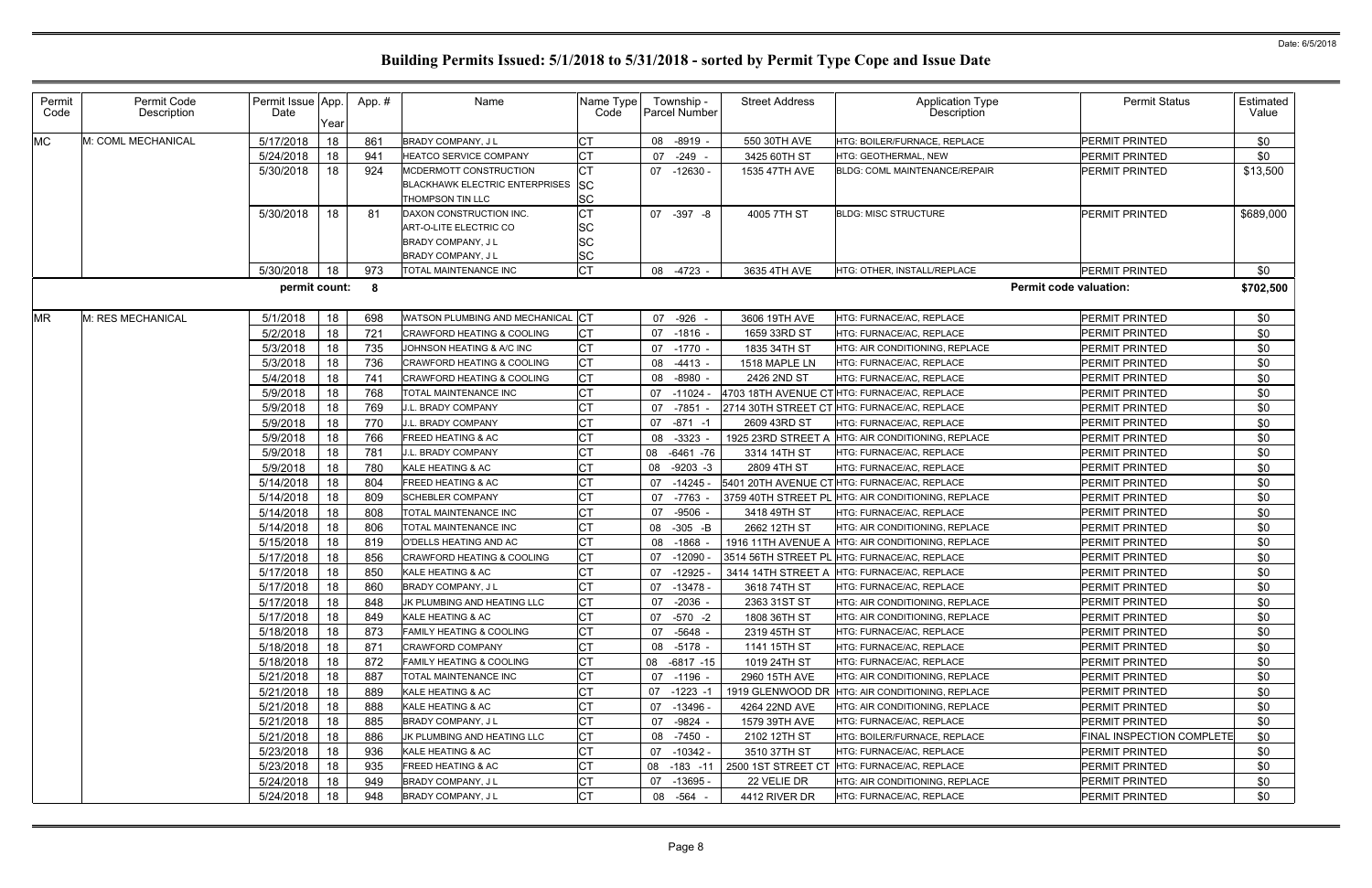|                               | <b>Permit Status</b>             | Estimated<br>Value |
|-------------------------------|----------------------------------|--------------------|
|                               | <b>PERMIT PRINTED</b>            | \$0                |
|                               | PERMIT PRINTED                   | \$0                |
|                               | PFRMIT PRINTFD                   | \$13,500           |
|                               | PERMIT PRINTED                   | \$689,000          |
|                               | PERMIT PRINTED                   | \$0                |
| <b>Permit code valuation:</b> |                                  | \$702,500          |
|                               | PERMIT PRINTED                   | \$0                |
|                               | PERMIT PRINTED                   | \$0                |
|                               | PERMIT PRINTED                   | \$0                |
|                               | <b>PERMIT PRINTED</b>            | \$0                |
|                               | PERMIT PRINTED                   | \$0                |
|                               | PERMIT PRINTED                   | \$0                |
|                               | PERMIT PRINTED                   | \$0                |
|                               | PERMIT PRINTED                   | \$0                |
|                               | <b>PERMIT PRINTED</b>            | \$0                |
|                               | <b>PERMIT PRINTED</b>            | \$0                |
|                               | PERMIT PRINTED                   | \$0                |
|                               | PERMIT PRINTED                   | \$0                |
|                               | <b>PERMIT PRINTED</b>            | \$0                |
|                               | PERMIT PRINTED<br>PERMIT PRINTED | \$0<br>\$0         |
|                               | <b>PERMIT PRINTED</b>            | \$0                |
|                               | <b>PERMIT PRINTED</b>            | \$0                |
|                               | <b>PERMIT PRINTED</b>            | \$0                |
|                               | <b>PERMIT PRINTED</b>            | \$0                |
|                               | PERMIT PRINTED                   | \$0                |
|                               | PERMIT PRINTED                   | \$0                |
|                               | PERMIT PRINTED                   | \$0                |
|                               | PERMIT PRINTED                   | \$0                |
|                               | PERMIT PRINTED                   | \$0                |
|                               | PERMIT PRINTED                   | \$0                |
|                               | <b>PERMIT PRINTED</b>            | \$0                |
|                               | PERMIT PRINTED                   | \$0                |
|                               | PERMIT PRINTED                   | \$0                |
|                               | FINAL INSPECTION COMPLETE        | \$0                |
|                               | PERMIT PRINTED                   | \$0                |
|                               | PERMIT PRINTED                   | \$0                |
|                               | PERMIT PRINTED                   | \$0                |
|                               | PERMIT PRINTED                   | \$0                |

| Permit<br>Code | Permit Code<br>Description | Permit Issue App.<br>Date | Year     | App. #     | Name                                             | Name Type<br>Code | Township -<br>Parcel Number | <b>Street Address</b>        | <b>Application Type</b><br>Description                           | <b>Permit Status</b>                           | Estimated<br>Value |
|----------------|----------------------------|---------------------------|----------|------------|--------------------------------------------------|-------------------|-----------------------------|------------------------------|------------------------------------------------------------------|------------------------------------------------|--------------------|
| <b>MC</b>      | M: COML MECHANICAL         | 5/17/2018                 | 18       | 861        | <b>BRADY COMPANY, JL</b>                         |                   | 08 -8919                    | 550 30TH AVE                 | HTG: BOILER/FURNACE, REPLACE                                     | <b>PERMIT PRINTED</b>                          | \$0                |
|                |                            | 5/24/2018                 | 18       | 941        | HEATCO SERVICE COMPANY                           | Iст               | $-249 -$<br>07              | 3425 60TH ST                 | HTG: GEOTHERMAL, NEW                                             | PERMIT PRINTED                                 | \$0                |
|                |                            | 5/30/2018                 | 18       | 924        | MCDERMOTT CONSTRUCTION                           | СT                | 07 -12630 -                 | 1535 47TH AVE                | <b>BLDG: COML MAINTENANCE/REPAIR</b>                             | <b>PERMIT PRINTED</b>                          | \$13,500           |
|                |                            |                           |          |            | <b>BLACKHAWK ELECTRIC ENTERPRISES</b>            | <b>SC</b>         |                             |                              |                                                                  |                                                |                    |
|                |                            |                           |          |            | <b>THOMPSON TIN LLC</b>                          | <b>SC</b>         |                             |                              |                                                                  |                                                |                    |
|                |                            | 5/30/2018                 | 18       | -81        | DAXON CONSTRUCTION INC.                          | Iст               | 07 -397 -8                  | 4005 7TH ST                  | <b>BLDG: MISC STRUCTURE</b>                                      | <b>PERMIT PRINTED</b>                          | \$689,000          |
|                |                            |                           |          |            | ART-O-LITE ELECTRIC CO                           | <b>SC</b>         |                             |                              |                                                                  |                                                |                    |
|                |                            |                           |          |            | <b>BRADY COMPANY, JL</b>                         | <b>SC</b>         |                             |                              |                                                                  |                                                |                    |
|                |                            |                           |          |            | BRADY COMPANY, J L                               | <b>SC</b>         |                             |                              |                                                                  |                                                |                    |
|                |                            | 5/30/2018                 | 18       | 973        | <b>TOTAL MAINTENANCE INC</b>                     | Iст               | 08 -4723 -                  | 3635 4TH AVE                 | HTG: OTHER, INSTALL/REPLACE                                      | <b>PERMIT PRINTED</b>                          | \$0                |
|                |                            | permit count:             |          | 8          |                                                  |                   |                             |                              |                                                                  | <b>Permit code valuation:</b>                  | \$702,500          |
| <b>MR</b>      | M: RES MECHANICAL          | 5/1/2018                  | 18       | 698        | WATSON PLUMBING AND MECHANICAL CT                |                   | 07 -926 -                   | 3606 19TH AVE                | HTG: FURNACE/AC, REPLACE                                         | <b>PERMIT PRINTED</b>                          | \$0                |
|                |                            | 5/2/2018                  | 18       | 721        | <b>CRAWFORD HEATING &amp; COOLING</b>            |                   | 07 -1816 -                  | 1659 33RD ST                 | HTG: FURNACE/AC, REPLACE                                         | PERMIT PRINTED                                 | \$0                |
|                |                            | 5/3/2018                  | 18       | 735        | JOHNSON HEATING & A/C INC                        | <b>CT</b>         | 07 -1770 -                  | 1835 34TH ST                 | HTG: AIR CONDITIONING, REPLACE                                   | <b>PERMIT PRINTED</b>                          | \$0                |
|                |                            | 5/3/2018                  | 18       | 736        | CRAWFORD HEATING & COOLING                       | <b>CT</b>         | -4413<br>08                 | 1518 MAPLE LN                | HTG: FURNACE/AC, REPLACE                                         | <b>PERMIT PRINTED</b>                          | \$0                |
|                |                            | 5/4/2018                  | 18       | 741        | CRAWFORD HEATING & COOLING                       | <b>CT</b>         | -8980<br>08                 | 2426 2ND ST                  | HTG: FURNACE/AC, REPLACE                                         | <b>PERMIT PRINTED</b>                          | \$0                |
|                |                            | 5/9/2018                  | 18       | 768        | TOTAL MAINTENANCE INC                            |                   | 07 -11024                   | 4703 18TH AVENUE C           | HTG: FURNACE/AC, REPLACE                                         | <b>PERMIT PRINTED</b>                          | \$0                |
|                |                            | 5/9/2018                  | 18       | 769        | J.L. BRADY COMPANY                               | СT                | 07 -7851                    |                              | 2714 30TH STREET CT HTG: FURNACE/AC, REPLACE                     | <b>PERMIT PRINTED</b>                          | \$0                |
|                |                            | 5/9/2018                  | 18       | 770        | J.L. BRADY COMPANY                               |                   | 07 -871 -1                  | 2609 43RD ST                 | HTG: FURNACE/AC, REPLACE                                         | <b>PERMIT PRINTED</b>                          | \$0                |
|                |                            | 5/9/2018                  | 18       | 766        | FREED HEATING & AC                               |                   | $-3323$<br>08               | 1925 23RD STREET A           | HTG: AIR CONDITIONING, REPLACE                                   | <b>PERMIT PRINTED</b>                          | \$0                |
|                |                            | 5/9/2018                  | 18       | 781        | J.L. BRADY COMPANY                               |                   | 08 -6461 -76                | 3314 14TH ST                 | HTG: FURNACE/AC, REPLACE                                         | <b>PERMIT PRINTED</b>                          | \$0                |
|                |                            | 5/9/2018                  | 18       | 780        | KALE HEATING & AC                                | <b>CT</b>         | 08 -9203 -3                 | 2809 4TH ST                  | HTG: FURNACE/AC, REPLACE                                         | PERMIT PRINTED                                 | \$0                |
|                |                            | 5/14/2018                 | 18       | 804        | FREED HEATING & AC                               | IСТ               | 07<br>-14245 -              |                              | 5401 20TH AVENUE CT HTG: FURNACE/AC, REPLACE                     | PERMIT PRINTED                                 | \$0                |
|                |                            | 5/14/2018                 | 18       | 809        | <b>SCHEBLER COMPANY</b>                          |                   | 07 -7763                    |                              | 3759 40TH STREET PL HTG: AIR CONDITIONING, REPLACE               | <b>PERMIT PRINTED</b>                          | \$0                |
|                |                            | 5/14/2018                 | 18       | 808        | TOTAL MAINTENANCE INC                            |                   | -9506<br>07                 | 3418 49TH ST                 | HTG: FURNACE/AC, REPLACE                                         | <b>PERMIT PRINTED</b>                          | \$0                |
|                |                            | 5/14/2018                 | 18       | 806        | TOTAL MAINTENANCE INC                            |                   | 08 -305 -B                  | 2662 12TH ST                 | HTG: AIR CONDITIONING, REPLACE                                   | <b>PERMIT PRINTED</b>                          | \$0                |
|                |                            | 5/15/2018                 | 18       | 819        | O'DELLS HEATING AND AC                           |                   | 08 -1868                    |                              | 1916 11TH AVENUE A HTG: AIR CONDITIONING, REPLACE                | <b>PERMIT PRINTED</b>                          | \$0                |
|                |                            | 5/17/2018                 | 18       | 856        | CRAWFORD HEATING & COOLING                       | СT                | 07 -12090                   |                              | 3514 56TH STREET PL HTG: FURNACE/AC, REPLACE                     | <b>PERMIT PRINTED</b>                          | \$0                |
|                |                            | 5/17/2018                 | 18       | 850        | KALE HEATING & AC                                | IСT               | 07<br>-12925                |                              | 3414 14TH STREET A HTG: FURNACE/AC, REPLACE                      | <b>PERMIT PRINTED</b>                          | \$0                |
|                |                            | 5/17/2018                 | 18       | 860        | BRADY COMPANY, J L                               |                   | 07 -13478 -                 | 3618 74TH ST                 | HTG: FURNACE/AC, REPLACE                                         | <b>PERMIT PRINTED</b><br><b>PERMIT PRINTED</b> | \$0                |
|                |                            | 5/17/2018<br>5/17/2018    | 18       | 848<br>849 | JK PLUMBING AND HEATING LLC<br>KALE HEATING & AC |                   | 07 -2036 -<br>07 -570 -2    | 2363 31ST ST<br>1808 36TH ST | HTG: AIR CONDITIONING, REPLACE<br>HTG: AIR CONDITIONING, REPLACE | <b>PERMIT PRINTED</b>                          | \$0                |
|                |                            | 5/18/2018                 | 18<br>18 | 873        | <b>FAMILY HEATING &amp; COOLING</b>              |                   | 07 -5648 -                  | 2319 45TH ST                 | HTG: FURNACE/AC, REPLACE                                         | <b>PERMIT PRINTED</b>                          | \$0<br>\$0         |
|                |                            | 5/18/2018                 | 18       | 871        | <b>CRAWFORD COMPANY</b>                          | <b>CT</b>         | 08 -5178 -                  | 1141 15TH ST                 | HTG: FURNACE/AC, REPLACE                                         | <b>PERMIT PRINTED</b>                          | \$0                |
|                |                            | 5/18/2018                 | 18       | 872        | <b>FAMILY HEATING &amp; COOLING</b>              | IСТ               | 08 -6817 -15                | 1019 24TH ST                 | HTG: FURNACE/AC, REPLACE                                         | <b>PERMIT PRINTED</b>                          | \$0                |
|                |                            | 5/21/2018                 | 18       | 887        | TOTAL MAINTENANCE INC                            | <b>CT</b>         | 07 -1196 -                  | 2960 15TH AVE                | HTG: AIR CONDITIONING, REPLACE                                   | <b>PERMIT PRINTED</b>                          | \$0                |
|                |                            | 5/21/2018                 | 18       | 889        | KALE HEATING & AC                                | <b>CT</b>         | 07 -1223 -1                 |                              | 1919 GLENWOOD DR HTG: AIR CONDITIONING, REPLACE                  | <b>PERMIT PRINTED</b>                          | \$0                |
|                |                            | 5/21/2018                 | 18       | 888        | KALE HEATING & AC                                |                   | 07 -13496 -                 | 4264 22ND AVE                | HTG: AIR CONDITIONING, REPLACE                                   | <b>PERMIT PRINTED</b>                          | \$0                |
|                |                            | 5/21/2018                 | 18       | 885        | BRADY COMPANY, JL                                |                   | -9824 -<br>07               | 1579 39TH AVE                | HTG: FURNACE/AC, REPLACE                                         | <b>PERMIT PRINTED</b>                          | \$0                |
|                |                            | 5/21/2018                 | 18       | 886        | JK PLUMBING AND HEATING LLC                      |                   | 08 -7450 -                  | 2102 12TH ST                 | HTG: BOILER/FURNACE, REPLACE                                     | <b>FINAL INSPECTION COMPLETE</b>               | \$0                |
|                |                            | 5/23/2018                 | 18       | 936        | KALE HEATING & AC                                | <b>CT</b>         | 07 -10342 -                 | 3510 37TH ST                 | HTG: FURNACE/AC, REPLACE                                         | <b>PERMIT PRINTED</b>                          | \$0                |
|                |                            | 5/23/2018                 | 18       | 935        | <b>FREED HEATING &amp; AC</b>                    |                   | 08 -183 -11                 | 2500 1ST STREET CT           | HTG: FURNACE/AC, REPLACE                                         | PERMIT PRINTED                                 | \$0                |
|                |                            | 5/24/2018                 | 18       | 949        | <b>BRADY COMPANY, JL</b>                         |                   | 07 -13695 -                 | 22 VELIE DR                  | HTG: AIR CONDITIONING, REPLACE                                   | <b>PERMIT PRINTED</b>                          | \$0                |
|                |                            | 5/24/2018                 | 18       | 948        | BRADY COMPANY, J L                               | IСТ               | 08 -564                     | 4412 RIVER DR                | HTG: FURNACE/AC, REPLACE                                         | <b>PERMIT PRINTED</b>                          | \$0                |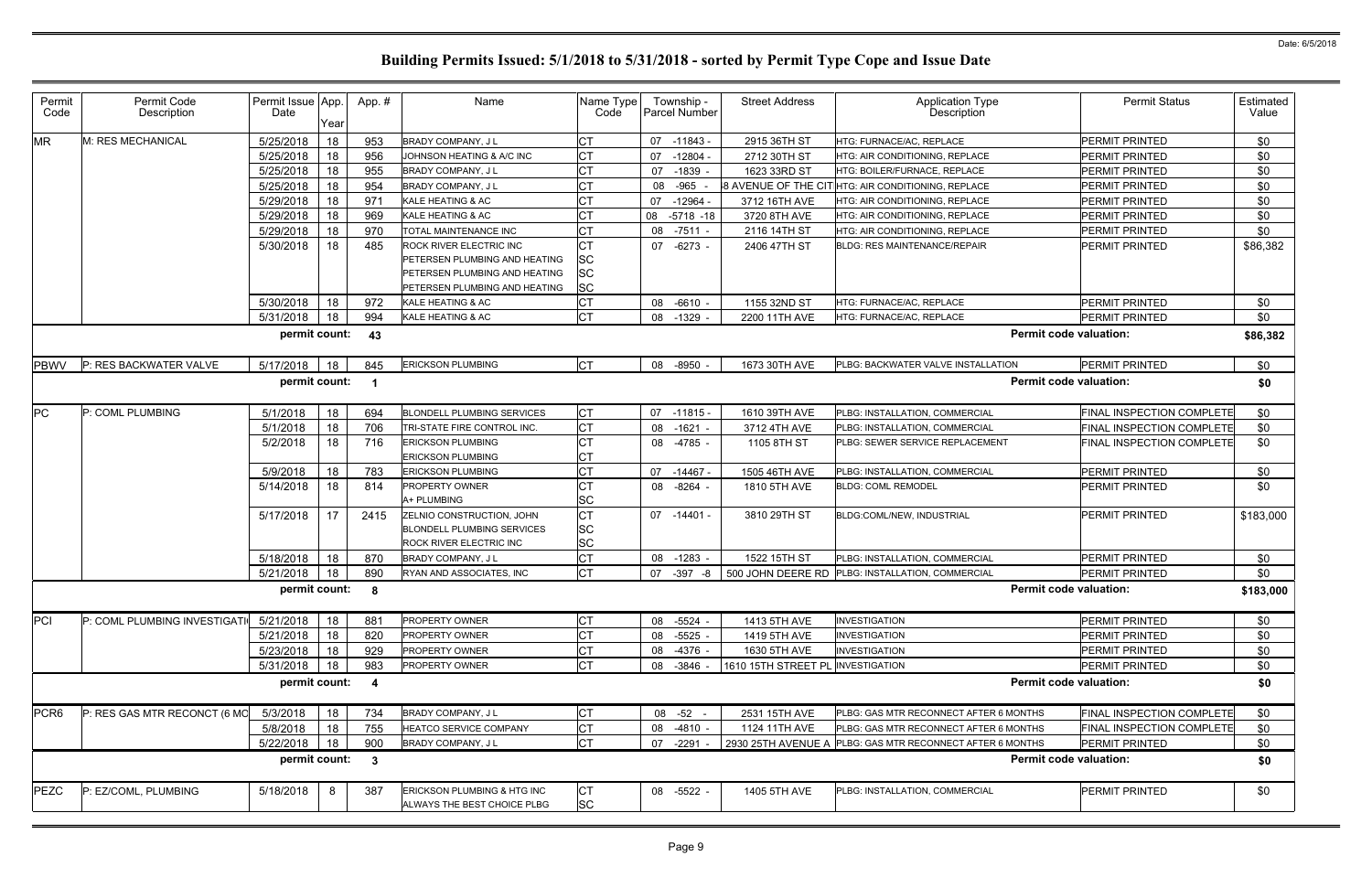| Permit<br>Code   | Permit Code<br>Description     | Permit Issue App<br>Date | Year | App.#        | Name                                                       | Name Type<br>Code | Township -<br>Parcel Number | <b>Street Address</b>             | <b>Application Type</b><br>Description                    | <b>Permit Status</b>             | Estimated<br>Value |
|------------------|--------------------------------|--------------------------|------|--------------|------------------------------------------------------------|-------------------|-----------------------------|-----------------------------------|-----------------------------------------------------------|----------------------------------|--------------------|
| <b>MR</b>        | M: RES MECHANICAL              | 5/25/2018                | 18   | 953          | BRADY COMPANY, J L                                         |                   | 07 -11843                   | 2915 36TH ST                      | HTG: FURNACE/AC, REPLACE                                  | PERMIT PRINTED                   | \$0                |
|                  |                                | 5/25/2018                | 18   | 956          | JOHNSON HEATING & A/C INC                                  | <b>CT</b>         | 07 -12804                   | 2712 30TH ST                      | HTG: AIR CONDITIONING, REPLACE                            | PERMIT PRINTED                   | \$0                |
|                  |                                | 5/25/2018                | 18   | 955          | BRADY COMPANY, J L                                         | СT                | 07 -1839                    | 1623 33RD ST                      | HTG: BOILER/FURNACE, REPLACE                              | PERMIT PRINTED                   | \$0                |
|                  |                                | 5/25/2018                | 18   | 954          | <b>BRADY COMPANY, JL</b>                                   |                   | 08<br>-965 -                |                                   | 8 AVENUE OF THE CIT HTG: AIR CONDITIONING, REPLACE        | PERMIT PRINTED                   | \$0                |
|                  |                                | 5/29/2018                | 18   | 971          | KALE HEATING & AC                                          |                   | 07<br>$-12964$              | 3712 16TH AVE                     | HTG: AIR CONDITIONING, REPLACE                            | <b>PERMIT PRINTED</b>            | \$0                |
|                  |                                | 5/29/2018                | 18   | 969          | KALE HEATING & AC                                          |                   | $-5718 - 18$<br>08          | 3720 8TH AVE                      | HTG: AIR CONDITIONING, REPLACE                            | PERMIT PRINTED                   | \$0                |
|                  |                                | 5/29/2018                | 18   | 970          | TOTAL MAINTENANCE INC                                      |                   | 08 -7511 -                  | 2116 14TH ST                      | HTG: AIR CONDITIONING, REPLACE                            | PERMIT PRINTED                   | \$0                |
|                  |                                | 5/30/2018                | 18   | 485          | ROCK RIVER ELECTRIC INC                                    |                   | 07 -6273 -                  | 2406 47TH ST                      | <b>BLDG: RES MAINTENANCE/REPAIR</b>                       | <b>PERMIT PRINTED</b>            | \$86,382           |
|                  |                                |                          |      |              | PETERSEN PLUMBING AND HEATING                              | SC                |                             |                                   |                                                           |                                  |                    |
|                  |                                |                          |      |              | PETERSEN PLUMBING AND HEATING                              | SC                |                             |                                   |                                                           |                                  |                    |
|                  |                                |                          |      |              | PETERSEN PLUMBING AND HEATING                              | SC                |                             |                                   |                                                           |                                  |                    |
|                  |                                | 5/30/2018                | 18   | 972          | KALE HEATING & AC                                          |                   | 08 -6610                    | 1155 32ND ST                      | HTG: FURNACE/AC, REPLACE                                  | PERMIT PRINTED                   | \$0                |
|                  |                                | 5/31/2018                | 18   | 994          | KALE HEATING & AC                                          |                   | 08 -1329 -                  | 2200 11TH AVE                     | HTG: FURNACE/AC. REPLACE                                  | <b>PERMIT PRINTED</b>            | \$0                |
|                  |                                | permit count:            |      | 43           |                                                            |                   |                             |                                   |                                                           | <b>Permit code valuation:</b>    | \$86,382           |
| <b>PBWV</b>      | P: RES BACKWATER VALVE         | 5/17/2018                | 18   | 845          | <b>ERICKSON PLUMBING</b>                                   | <b>CT</b>         | 08 -8950                    | 1673 30TH AVE                     | PLBG: BACKWATER VALVE INSTALLATION                        | <b>PERMIT PRINTED</b>            | \$0                |
|                  |                                | permit count:            |      |              |                                                            |                   |                             |                                   |                                                           | <b>Permit code valuation:</b>    | \$0                |
| <b>PC</b>        | P: COML PLUMBING               | 5/1/2018                 | 18   | 694          | <b>BLONDELL PLUMBING SERVICES</b>                          | СT                | $07 - 11815$                | 1610 39TH AVE                     | PLBG: INSTALLATION, COMMERCIAL                            | <b>FINAL INSPECTION COMPLETE</b> | \$0                |
|                  |                                | 5/1/2018                 | 18   | 706          | TRI-STATE FIRE CONTROL INC.                                | СT                | 08 -1621 -                  | 3712 4TH AVE                      | PLBG: INSTALLATION, COMMERCIAL                            | FINAL INSPECTION COMPLETE        | \$0                |
|                  |                                | 5/2/2018                 | 18   | 716          | <b>ERICKSON PLUMBING</b><br>ERICKSON PLUMBING              |                   | 08 -4785 -                  | 1105 8TH ST                       | PLBG: SEWER SERVICE REPLACEMENT                           | FINAL INSPECTION COMPLETE        | \$0                |
|                  |                                | 5/9/2018                 | 18   | 783          | <b>ERICKSON PLUMBING</b>                                   |                   | $07 - 14467$                | 1505 46TH AVE                     | PLBG: INSTALLATION, COMMERCIAL                            | <b>PERMIT PRINTED</b>            | \$0                |
|                  |                                | 5/14/2018                | 18   | 814          | <b>PROPERTY OWNER</b>                                      |                   | 08 -8264                    | 1810 5TH AVE                      | <b>BLDG: COML REMODEL</b>                                 | <b>PERMIT PRINTED</b>            | \$0                |
|                  |                                |                          |      |              | A+ PLUMBING                                                | SC                |                             |                                   |                                                           |                                  |                    |
|                  |                                | 5/17/2018                | 17   | 2415         | ZELNIO CONSTRUCTION, JOHN                                  | <b>CT</b>         | 07 -14401 -                 | 3810 29TH ST                      | BLDG:COML/NEW, INDUSTRIAL                                 | <b>PERMIT PRINTED</b>            | \$183,000          |
|                  |                                |                          |      |              | <b>BLONDELL PLUMBING SERVICES</b>                          | <b>SC</b>         |                             |                                   |                                                           |                                  |                    |
|                  |                                |                          |      |              | <b>ROCK RIVER ELECTRIC INC</b>                             | <b>SC</b>         |                             |                                   |                                                           |                                  |                    |
|                  |                                | 5/18/2018                | 18   | 870          | <b>BRADY COMPANY, JL</b>                                   |                   | 08 -1283                    | 1522 15TH ST                      | PLBG: INSTALLATION, COMMERCIAL                            | <b>PERMIT PRINTED</b>            | \$0                |
|                  |                                | 5/21/2018                | 18   | 890          | RYAN AND ASSOCIATES, INC                                   | CТ                | 07 -397 -8                  |                                   | 500 JOHN DEERE RD PLBG: INSTALLATION, COMMERCIAL          | PERMIT PRINTED                   | \$0                |
|                  |                                | permit count: 8          |      |              |                                                            |                   |                             |                                   |                                                           | <b>Permit code valuation:</b>    | \$183,000          |
| PCI              | P: COML PLUMBING INVESTIGATION | 5/21/2018                | 18   | 881          | PROPERTY OWNER                                             | СT                | 08 -5524                    | 1413 5TH AVE                      | <b>INVESTIGATION</b>                                      | <b>PERMIT PRINTED</b>            | \$0                |
|                  |                                | 5/21/2018                | 18   | 820          | <b>PROPERTY OWNER</b>                                      | <b>CT</b>         | 08 -5525                    | 1419 5TH AVE                      | <b>INVESTIGATION</b>                                      | <b>PERMIT PRINTED</b>            | \$0                |
|                  |                                | 5/23/2018                | 18   | 929          | PROPERTY OWNER                                             |                   | 08 -4376 -                  | 1630 5TH AVE                      | <b>INVESTIGATION</b>                                      | PERMIT PRINTED                   | \$0                |
|                  |                                | 5/31/2018                | 18   | 983          | PROPERTY OWNER                                             |                   | 08 -3846                    | 1610 15TH STREET PL INVESTIGATION |                                                           | PERMIT PRINTED                   | \$0                |
|                  |                                | permit count:            |      | 4            |                                                            |                   |                             |                                   |                                                           | <b>Permit code valuation:</b>    | \$0                |
| PCR <sub>6</sub> | P: RES GAS MTR RECONCT (6 MO   | 5/3/2018                 | 18   | 734          | BRADY COMPANY, J L                                         | CТ                | 08 -52 -                    | 2531 15TH AVE                     | PLBG: GAS MTR RECONNECT AFTER 6 MONTHS                    | FINAL INSPECTION COMPLETE        | \$0                |
|                  |                                | 5/8/2018                 | 18   | 755          | HEATCO SERVICE COMPANY                                     |                   | 08 -4810 -                  | 1124 11TH AVE                     | PLBG: GAS MTR RECONNECT AFTER 6 MONTHS                    | FINAL INSPECTION COMPLETE        | \$0                |
|                  |                                | 5/22/2018                | 18   | 900          | BRADY COMPANY, J L                                         | СT                | 07 -2291                    |                                   | 2930 25TH AVENUE A PLBG: GAS MTR RECONNECT AFTER 6 MONTHS | PERMIT PRINTED                   | \$0                |
|                  |                                | permit count:            |      | $\mathbf{3}$ |                                                            |                   |                             |                                   |                                                           | <b>Permit code valuation:</b>    | \$0                |
| <b>PEZC</b>      | P: EZ/COML, PLUMBING           | 5/18/2018                | 8    | 387          | ERICKSON PLUMBING & HTG INC<br>ALWAYS THE BEST CHOICE PLBG | СT<br><b>SC</b>   | 08 -5522 -                  | 1405 5TH AVE                      | PLBG: INSTALLATION, COMMERCIAL                            | <b>PERMIT PRINTED</b>            | \$0                |
|                  |                                |                          |      |              |                                                            |                   |                             |                                   |                                                           |                                  |                    |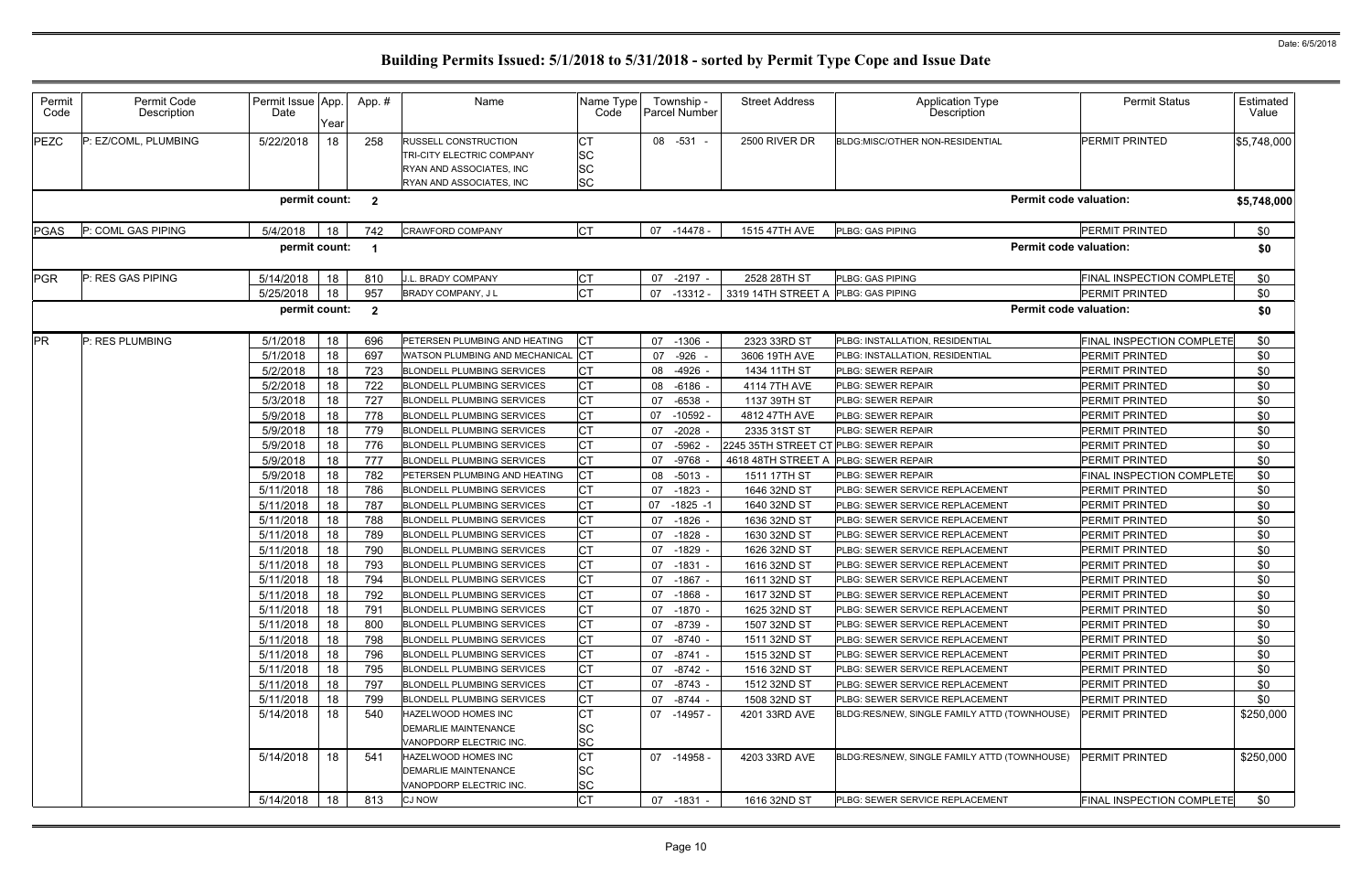|                               | <b>Permit Status</b>             | Estimated<br>Value |
|-------------------------------|----------------------------------|--------------------|
|                               | PERMIT PRINTED                   | \$5,748,000        |
|                               |                                  |                    |
| <b>Permit code valuation:</b> |                                  | \$5,748,000        |
|                               | PERMIT PRINTED                   | \$0                |
| <b>Permit code valuation:</b> |                                  | \$0                |
|                               | FINAL INSPECTION COMPLETE        | \$0                |
|                               | PERMIT PRINTED                   | \$0                |
| <b>Permit code valuation:</b> | \$0                              |                    |
|                               | <b>FINAL INSPECTION COMPLETE</b> | \$0                |
|                               | PERMIT PRINTED                   | \$0                |
|                               | PERMIT PRINTED                   | \$0                |
|                               | PERMIT PRINTED                   | \$0                |
|                               | PERMIT PRINTED                   | \$0                |
|                               | PERMIT PRINTED                   | \$0                |
|                               | PERMIT PRINTED                   | \$0                |
|                               | PERMIT PRINTED                   | \$0                |
|                               | PERMIT PRINTED                   | \$0                |
|                               | FINAL INSPECTION COMPLETE        | \$0                |
|                               | PERMIT PRINTED                   | \$0                |
|                               | PERMIT PRINTED                   | \$0                |
|                               | PERMIT PRINTED                   | \$0                |
|                               | PERMIT PRINTED                   | \$0                |
|                               | PERMIT PRINTED                   | \$0                |
|                               | PERMIT PRINTED                   | \$0                |
|                               | PERMIT PRINTED                   | \$0                |
|                               | PERMIT PRINTED                   | \$0                |
|                               | PERMIT PRINTED                   | \$0                |
|                               | PERMIT PRINTED                   | \$0                |
|                               | PERMIT PRINTED                   | \$0                |
|                               | PERMIT PRINTED                   | \$0                |
|                               | PERMIT PRINTED                   | \$0                |
|                               | PERMIT PRINTED                   | \$0                |
|                               | PERMIT PRINTED                   | \$0                |
| TOWNHOUSE)                    | PERMIT PRINTED                   | \$250,000          |
| TOWNHOUSE)                    | PERMIT PRINTED                   | \$250,000          |
|                               | FINAL INSPECTION COMPLETE        | \$0                |

| Permit<br>Code | Permit Code<br>Description | Permit Issue App.<br>Date | Year | App. #                  | Name                                                   | Name Type<br>Code | Township -<br>Parcel Number | <b>Street Address</b>                  | Application Type<br>Description              | <b>Permit Status</b>             | Estimated<br>Value |
|----------------|----------------------------|---------------------------|------|-------------------------|--------------------------------------------------------|-------------------|-----------------------------|----------------------------------------|----------------------------------------------|----------------------------------|--------------------|
| <b>PEZC</b>    | P: EZ/COML, PLUMBING       | 5/22/2018                 | 18   | 258                     | <b>RUSSELL CONSTRUCTION</b>                            | <b>CT</b>         | 08 -531 -                   | 2500 RIVER DR                          | BLDG:MISC/OTHER NON-RESIDENTIAL              | <b>PERMIT PRINTED</b>            | \$5,748,000        |
|                |                            |                           |      |                         | TRI-CITY ELECTRIC COMPANY                              | <b>SC</b>         |                             |                                        |                                              |                                  |                    |
|                |                            |                           |      |                         | RYAN AND ASSOCIATES, INC                               | <b>SC</b>         |                             |                                        |                                              |                                  |                    |
|                |                            |                           |      |                         | RYAN AND ASSOCIATES, INC                               | <b>SC</b>         |                             |                                        |                                              |                                  |                    |
|                |                            | permit count:             |      | $\overline{\mathbf{2}}$ |                                                        |                   |                             |                                        | <b>Permit code valuation:</b>                |                                  | \$5,748,000        |
| PGAS           | P: COML GAS PIPING         | 5/4/2018                  | 18   | 742                     | <b>CRAWFORD COMPANY</b>                                | <b>CT</b>         | 07 -14478 -                 | 1515 47TH AVE                          | PLBG: GAS PIPING                             | <b>PERMIT PRINTED</b>            | \$0                |
|                |                            | permit count:             |      |                         |                                                        |                   |                             |                                        | <b>Permit code valuation:</b>                |                                  | \$0                |
| <b>PGR</b>     | P: RES GAS PIPING          | 5/14/2018                 | 18   | 810                     | J.L. BRADY COMPANY                                     | <b>CT</b>         | 07 -2197 -                  | 2528 28TH ST                           | PLBG: GAS PIPING                             | <b>FINAL INSPECTION COMPLETE</b> | \$0                |
|                |                            | 5/25/2018                 | 18   | 957                     | BRADY COMPANY, J L                                     | <b>CT</b>         | 07<br>$-13312 -$            | 3319 14TH STREET A                     | PLBG: GAS PIPING                             | <b>PERMIT PRINTED</b>            | \$0                |
|                |                            | permit count:             |      | $\overline{2}$          |                                                        |                   |                             |                                        | <b>Permit code valuation:</b>                |                                  | \$0                |
| <b>PR</b>      | P: RES PLUMBING            | 5/1/2018                  | 18   | 696                     | PETERSEN PLUMBING AND HEATING                          | IСТ               | 07 -1306                    | 2323 33RD ST                           | PLBG: INSTALLATION, RESIDENTIAL              | FINAL INSPECTION COMPLETE        | \$0                |
|                |                            | 5/1/2018                  | 18   | 697                     | WATSON PLUMBING AND MECHANICAL                         | . ICT             | 07 -926                     | 3606 19TH AVE                          | PLBG: INSTALLATION, RESIDENTIAL              | <b>PERMIT PRINTED</b>            | \$0                |
|                |                            | 5/2/2018                  | 18   | 723                     | <b>BLONDELL PLUMBING SERVICES</b>                      | <b>CT</b>         | -4926<br>08                 | 1434 11TH ST                           | PLBG: SEWER REPAIR                           | <b>PERMIT PRINTED</b>            | \$0                |
|                |                            | 5/2/2018                  | 18   | 722                     | <b>BLONDELL PLUMBING SERVICES</b>                      | <b>CT</b>         | 08 -6186                    | 4114 7TH AVE                           | PLBG: SEWER REPAIR                           | <b>PERMIT PRINTED</b>            | \$0                |
|                |                            | 5/3/2018                  | 18   | 727                     | <b>BLONDELL PLUMBING SERVICES</b>                      | <b>CT</b>         | $-6538$<br>07               | 1137 39TH ST                           | PLBG: SEWER REPAIR                           | <b>PERMIT PRINTED</b>            | \$0                |
|                |                            | 5/9/2018                  | 18   | 778                     | <b>BLONDELL PLUMBING SERVICES</b>                      | <b>CT</b>         | $-10592$<br>07              | 4812 47TH AVE                          | PLBG: SEWER REPAIR                           | PERMIT PRINTED                   | \$0                |
|                |                            | 5/9/2018                  | 18   | 779                     | <b>BLONDELL PLUMBING SERVICES</b>                      | <b>CT</b>         | $-2028$<br>07               | 2335 31ST ST                           | PLBG: SEWER REPAIR                           | <b>PERMIT PRINTED</b>            | \$0                |
|                |                            | 5/9/2018                  | 18   | 776                     | <b>BLONDELL PLUMBING SERVICES</b>                      | <b>CT</b>         | $-5962$<br>07               | 2245 35TH STREET CT PLBG: SEWER REPAIR |                                              | PERMIT PRINTED                   | \$0                |
|                |                            | 5/9/2018                  | 18   | 777                     | <b>BLONDELL PLUMBING SERVICES</b>                      | <b>CT</b>         | -9768<br>07                 | 4618 48TH STREET A                     | PLBG: SEWER REPAIR                           | PERMIT PRINTED                   | \$0                |
|                |                            | 5/9/2018                  | 18   | 782                     | PETERSEN PLUMBING AND HEATING                          | <b>CT</b>         | $-5013$<br>08               | 1511 17TH ST                           | PLBG: SEWER REPAIR                           | FINAL INSPECTION COMPLETE        | \$0                |
|                |                            | 5/11/2018                 | 18   | 786                     | <b>BLONDELL PLUMBING SERVICES</b>                      | <b>CT</b>         | $-1823$<br>07               | 1646 32ND ST                           | PLBG: SEWER SERVICE REPLACEMENT              | <b>PERMIT PRINTED</b>            | \$0                |
|                |                            | 5/11/2018                 | 18   | 787                     | <b>BLONDELL PLUMBING SERVICES</b>                      | <b>CT</b>         | 07<br>$-1825 - 1$           | 1640 32ND ST                           | PLBG: SEWER SERVICE REPLACEMENT              | PERMIT PRINTED                   | \$0                |
|                |                            | 5/11/2018                 | 18   | 788                     | <b>BLONDELL PLUMBING SERVICES</b>                      | <b>CT</b>         | 07 -1826                    | 1636 32ND ST                           | PLBG: SEWER SERVICE REPLACEMENT              | PERMIT PRINTED                   | \$0                |
|                |                            | 5/11/2018                 | 18   | 789                     | <b>BLONDELL PLUMBING SERVICES</b>                      | <b>CT</b>         | $-1828$<br>07               | 1630 32ND ST                           | PLBG: SEWER SERVICE REPLACEMENT              | <b>PERMIT PRINTED</b>            | \$0                |
|                |                            | 5/11/2018                 | 18   | 790                     | <b>BLONDELL PLUMBING SERVICES</b>                      | <b>CT</b>         | 07<br>-1829                 | 1626 32ND ST                           | PLBG: SEWER SERVICE REPLACEMENT              | <b>PERMIT PRINTED</b>            | \$0                |
|                |                            | 5/11/2018                 | 18   | 793                     | <b>BLONDELL PLUMBING SERVICES</b>                      | <b>CT</b>         | 07<br>$-1831$               | 1616 32ND ST                           | PLBG: SEWER SERVICE REPLACEMENT              | PERMIT PRINTED                   | \$0                |
|                |                            | 5/11/2018                 | 18   | 794                     | <b>BLONDELL PLUMBING SERVICES</b>                      | <b>CT</b>         | $-1867$ -<br>07             | 1611 32ND ST                           | PLBG: SEWER SERVICE REPLACEMENT              | PERMIT PRINTED                   | \$0                |
|                |                            | 5/11/2018 18              |      | 792                     | <b>BLONDELL PLUMBING SERVICES</b>                      | IСT               | 07 -1868 -                  | 1617 32ND ST                           | PLBG: SEWER SERVICE REPLACEMENT              | PERMIT PRINTED                   | \$0                |
|                |                            | 5/11/2018                 | 18   | 791                     | <b>BLONDELL PLUMBING SERVICES</b>                      | <b>CT</b>         | 07 -1870 -                  | 1625 32ND ST                           | PLBG: SEWER SERVICE REPLACEMENT              | PERMIT PRINTED                   | \$0                |
|                |                            | 5/11/2018                 | 18   | 800                     | <b>BLONDELL PLUMBING SERVICES</b>                      | <b>CT</b>         | 07 -8739 -                  | 1507 32ND ST                           | PLBG: SEWER SERVICE REPLACEMENT              | <b>PERMIT PRINTED</b>            | \$0                |
|                |                            | 5/11/2018                 | 18   | 798                     | <b>BLONDELL PLUMBING SERVICES</b>                      | <b>CT</b>         | 07 -8740 -                  | 1511 32ND ST                           | PLBG: SEWER SERVICE REPLACEMENT              | PERMIT PRINTED                   | \$0                |
|                |                            | 5/11/2018                 | 18   | 796                     | BLONDELL PLUMBING SERVICES                             | <b>CT</b>         | 07 -8741 -                  | 1515 32ND ST                           | PLBG: SEWER SERVICE REPLACEMENT              | PERMIT PRINTED                   | \$0                |
|                |                            | 5/11/2018                 | 18   | 795                     | <b>BLONDELL PLUMBING SERVICES</b>                      | <b>CT</b>         | 07 -8742 -                  | 1516 32ND ST                           | PLBG: SEWER SERVICE REPLACEMENT              | PERMIT PRINTED                   | \$0                |
|                |                            | 5/11/2018                 | 18   | 797                     | <b>BLONDELL PLUMBING SERVICES</b>                      | <b>CT</b>         | 07 -8743                    | 1512 32ND ST                           | PLBG: SEWER SERVICE REPLACEMENT              | PERMIT PRINTED                   | \$0                |
|                |                            | 5/11/2018                 | 18   | 799                     | <b>BLONDELL PLUMBING SERVICES</b>                      | <b>CT</b>         | -8744<br>07                 | 1508 32ND ST                           | PLBG: SEWER SERVICE REPLACEMENT              | PERMIT PRINTED                   | \$0                |
|                |                            | 5/14/2018                 | 18   | 540                     | <b>HAZELWOOD HOMES INC</b>                             | <b>CT</b>         | 07 -14957 -                 | 4201 33RD AVE                          | BLDG:RES/NEW, SINGLE FAMILY ATTD (TOWNHOUSE) | <b>PERMIT PRINTED</b>            | \$250,000          |
|                |                            |                           |      |                         | <b>DEMARLIE MAINTENANCE</b><br>VANOPDORP ELECTRIC INC. | SC<br><b>SC</b>   |                             |                                        |                                              |                                  |                    |
|                |                            | 5/14/2018                 | 18   | 541                     | HAZELWOOD HOMES INC                                    | <b>CT</b>         | 07 -14958                   | 4203 33RD AVE                          | BLDG:RES/NEW, SINGLE FAMILY ATTD (TOWNHOUSE) | <b>PERMIT PRINTED</b>            | \$250,000          |
|                |                            |                           |      |                         | <b>DEMARLIE MAINTENANCE</b>                            | <b>SC</b>         |                             |                                        |                                              |                                  |                    |
|                |                            |                           |      |                         | VANOPDORP ELECTRIC INC.                                | <b>SC</b>         |                             |                                        |                                              |                                  |                    |
|                |                            | 5/14/2018                 | 18   | 813                     | <b>CJ NOW</b>                                          | <b>CT</b>         | 07 -1831 -                  | 1616 32ND ST                           | PLBG: SEWER SERVICE REPLACEMENT              | <b>FINAL INSPECTION COMPLETE</b> | \$0                |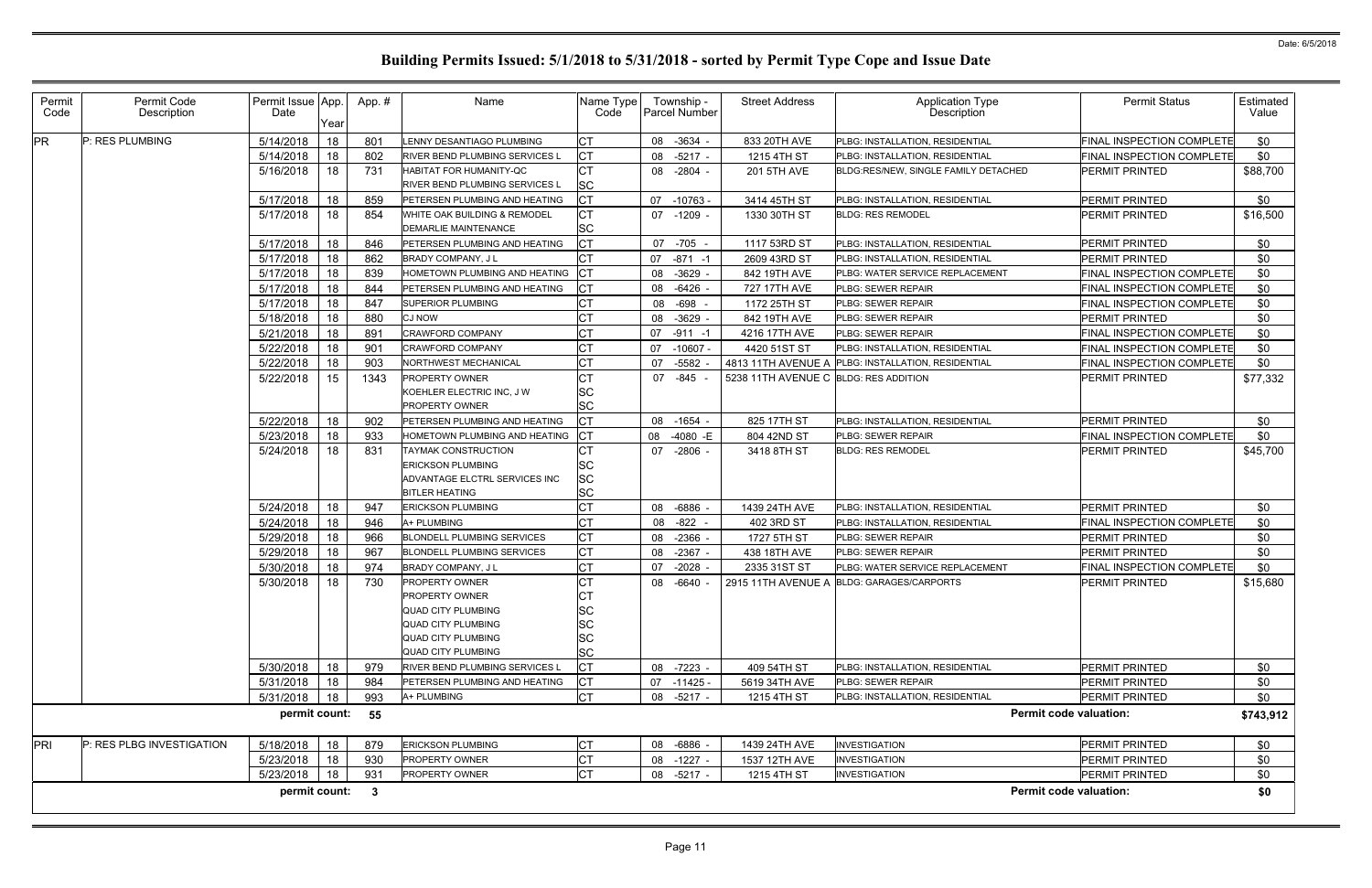| Permit<br>Code | Permit Code<br>Description | Permit Issue App.<br>Date | Year | App.#        | Name                                                                   | Name Type<br>Code | Township -<br>Parcel Number | <b>Street Address</b>                 | <b>Application Type</b><br>Description             | <b>Permit Status</b>             | Estimated<br>Value |
|----------------|----------------------------|---------------------------|------|--------------|------------------------------------------------------------------------|-------------------|-----------------------------|---------------------------------------|----------------------------------------------------|----------------------------------|--------------------|
| <b>PR</b>      | P: RES PLUMBING            | 5/14/2018                 | 18   | 801          | LENNY DESANTIAGO PLUMBING                                              | <b>CT</b>         | 08 -3634                    | 833 20TH AVE                          | PLBG: INSTALLATION, RESIDENTIAL                    | <b>FINAL INSPECTION COMPLETE</b> | \$0                |
|                |                            | 5/14/2018                 | 18   | 802          | <b>RIVER BEND PLUMBING SERVICES L</b>                                  | <b>CT</b>         | 08 -5217 -                  | 1215 4TH ST                           | PLBG: INSTALLATION, RESIDENTIAL                    | FINAL INSPECTION COMPLETE        | \$0                |
|                |                            | 5/16/2018                 | 18   | 731          | HABITAT FOR HUMANITY-QC<br>RIVER BEND PLUMBING SERVICES L              | SC                | 08 -2804 -                  | <b>201 5TH AVE</b>                    | BLDG:RES/NEW, SINGLE FAMILY DETACHED               | <b>PERMIT PRINTED</b>            | \$88,700           |
|                |                            | 5/17/2018                 | 18   | 859          | PETERSEN PLUMBING AND HEATING                                          | СT                | 07 -10763                   | 3414 45TH ST                          | PLBG: INSTALLATION, RESIDENTIAL                    | <b>PERMIT PRINTED</b>            | \$0                |
|                |                            | 5/17/2018                 | 18   | 854          | <b>WHITE OAK BUILDING &amp; REMODEL</b><br><b>DEMARLIE MAINTENANCE</b> | <b>SC</b>         | 07 -1209 -                  | 1330 30TH ST                          | <b>BLDG: RES REMODEL</b>                           | <b>PERMIT PRINTED</b>            | \$16,500           |
|                |                            | 5/17/2018                 | 18   | 846          | PETERSEN PLUMBING AND HEATING                                          | <b>CT</b>         | 07 -705 -                   | 1117 53RD ST                          | PLBG: INSTALLATION, RESIDENTIAL                    | <b>PERMIT PRINTED</b>            | \$0                |
|                |                            | 5/17/2018                 | 18   | 862          | <b>BRADY COMPANY, JL</b>                                               | СT                | $-871 - 1$<br>07            | 2609 43RD ST                          | PLBG: INSTALLATION, RESIDENTIAL                    | <b>PERMIT PRINTED</b>            | \$0                |
|                |                            | 5/17/2018                 | 18   | 839          | HOMETOWN PLUMBING AND HEATING                                          | IСТ               | 08 -3629                    | 842 19TH AVE                          | PLBG: WATER SERVICE REPLACEMENT                    | FINAL INSPECTION COMPLETE        | \$0                |
|                |                            | 5/17/2018                 | 18   | 844          | PETERSEN PLUMBING AND HEATING                                          | СT                | 08 -6426                    | 727 17TH AVE                          | PLBG: SEWER REPAIR                                 | FINAL INSPECTION COMPLETE        | \$0                |
|                |                            | 5/17/2018                 | 18   | 847          | <b>SUPERIOR PLUMBING</b>                                               | СT                | 08 -698 -                   | 1172 25TH ST                          | <b>PLBG: SEWER REPAIR</b>                          | <b>FINAL INSPECTION COMPLETE</b> | \$0                |
|                |                            | 5/18/2018                 | 18   | 880          | <b>CJ NOW</b>                                                          | <b>CT</b>         | 08 -3629                    | 842 19TH AVE                          | PLBG: SEWER REPAIR                                 | <b>PERMIT PRINTED</b>            | \$0                |
|                |                            | 5/21/2018                 | 18   | 891          | <b>CRAWFORD COMPANY</b>                                                | СT                | 07<br>-911 -1               | 4216 17TH AVE                         | PLBG: SEWER REPAIR                                 | FINAL INSPECTION COMPLETE        | \$0                |
|                |                            | 5/22/2018                 | 18   | 901          | <b>CRAWFORD COMPANY</b>                                                | <b>CT</b>         | $-10607 -$<br>07            | 4420 51ST ST                          | PLBG: INSTALLATION, RESIDENTIAL                    | FINAL INSPECTION COMPLETE        | \$0                |
|                |                            | 5/22/2018                 | 18   | 903          | <b>NORTHWEST MECHANICAL</b>                                            | <b>CT</b>         | -5582<br>07                 |                                       | 4813 11TH AVENUE A PLBG: INSTALLATION, RESIDENTIAL | FINAL INSPECTION COMPLETE        | \$0                |
|                |                            | 5/22/2018                 | 15   | 1343         | <b>PROPERTY OWNER</b>                                                  | CT                | 07 -845 -                   | 5238 11TH AVENUE C BLDG: RES ADDITION |                                                    | PERMIT PRINTED                   | \$77,332           |
|                |                            |                           |      |              | KOEHLER ELECTRIC INC, J W                                              | SC                |                             |                                       |                                                    |                                  |                    |
|                |                            |                           |      |              | PROPERTY OWNER                                                         | SC                |                             |                                       |                                                    |                                  |                    |
|                |                            | 5/22/2018                 | 18   | 902          | PETERSEN PLUMBING AND HEATING                                          | СT                | 08 -1654                    | 825 17TH ST                           | PLBG: INSTALLATION, RESIDENTIAL                    | <b>PERMIT PRINTED</b>            | \$0                |
|                |                            | 5/23/2018                 | 18   | 933          | HOMETOWN PLUMBING AND HEATING                                          | СT                | -4080 -E<br>08              | 804 42ND ST                           | PLBG: SEWER REPAIR                                 | FINAL INSPECTION COMPLETE        | \$0                |
|                |                            | 5/24/2018                 | 18   | 831          | TAYMAK CONSTRUCTION                                                    | UI                | -2806 -<br>07               | 3418 8TH ST                           | <b>BLDG: RES REMODEL</b>                           | <b>PERMIT PRINTED</b>            | \$45,700           |
|                |                            |                           |      |              | <b>ERICKSON PLUMBING</b>                                               | SC                |                             |                                       |                                                    |                                  |                    |
|                |                            |                           |      |              | ADVANTAGE ELCTRL SERVICES INC                                          | SC                |                             |                                       |                                                    |                                  |                    |
|                |                            |                           |      |              | <b>BITLER HEATING</b>                                                  | SC                |                             |                                       |                                                    |                                  |                    |
|                |                            | 5/24/2018                 | 18   | 947          | <b>ERICKSON PLUMBING</b>                                               | <b>CT</b>         | 08 -6886                    | 1439 24TH AVE                         | PLBG: INSTALLATION, RESIDENTIAL                    | <b>PERMIT PRINTED</b>            | \$0                |
|                |                            | 5/24/2018                 | 18   | 946          | A+ PLUMBING                                                            | <b>CT</b>         | 08 - 822 -                  | 402 3RD ST                            | PLBG: INSTALLATION, RESIDENTIAL                    | FINAL INSPECTION COMPLETE        | \$0                |
|                |                            | 5/29/2018                 | 18   | 966          | <b>BLONDELL PLUMBING SERVICES</b>                                      | <b>CT</b>         | -2366<br>08                 | 1727 5TH ST                           | PLBG: SEWER REPAIR                                 | PERMIT PRINTED                   | \$0                |
|                |                            | 5/29/2018                 | 18   | 967          | <b>BLONDELL PLUMBING SERVICES</b>                                      | <b>CT</b>         | 08 -2367                    | 438 18TH AVE                          | PLBG: SEWER REPAIR                                 | <b>PERMIT PRINTED</b>            | \$0                |
|                |                            | 5/30/2018                 | 18   | 974          | BRADY COMPANY, J L                                                     | <b>CT</b>         | $-2028$<br>07               | 2335 31ST ST                          | PLBG: WATER SERVICE REPLACEMENT                    | <b>FINAL INSPECTION COMPLETE</b> | \$0                |
|                |                            | 5/30/2018                 | 18   | 730          | PROPERTY OWNER                                                         |                   | 08 -6640                    |                                       | 2915 11TH AVENUE A BLDG: GARAGES/CARPORTS          | <b>PERMIT PRINTED</b>            | \$15,680           |
|                |                            |                           |      |              | PROPERTY OWNER                                                         | C I               |                             |                                       |                                                    |                                  |                    |
|                |                            |                           |      |              | <b>QUAD CITY PLUMBING</b><br><b>QUAD CITY PLUMBING</b>                 | SC                |                             |                                       |                                                    |                                  |                    |
|                |                            |                           |      |              | <b>QUAD CITY PLUMBING</b>                                              | SC<br>SC          |                             |                                       |                                                    |                                  |                    |
|                |                            |                           |      |              | <b>QUAD CITY PLUMBING</b>                                              | <b>SC</b>         |                             |                                       |                                                    |                                  |                    |
|                |                            | 5/30/2018                 | 18   | 979          | <b>RIVER BEND PLUMBING SERVICES</b>                                    | C <sub>T</sub>    | 08 -7223                    | 409 54TH ST                           | PLBG: INSTALLATION, RESIDENTIAL                    | PERMIT PRINTED                   | \$0                |
|                |                            | 5/31/2018                 | 18   | 984          | PETERSEN PLUMBING AND HEATING                                          | <b>CT</b>         | $07 - 11425$                | 5619 34TH AVE                         | PLBG: SEWER REPAIR                                 | PERMIT PRINTED                   | \$0                |
|                |                            | 5/31/2018                 | 18   | 993          | A+ PLUMBING                                                            | <b>CT</b>         | 08 -5217 -                  | 1215 4TH ST                           | PLBG: INSTALLATION, RESIDENTIAL                    | PERMIT PRINTED                   | \$0                |
|                |                            | permit count:             |      |              |                                                                        |                   |                             |                                       |                                                    | <b>Permit code valuation:</b>    |                    |
|                |                            |                           |      | 55           |                                                                        |                   |                             |                                       |                                                    |                                  | \$743,912          |
| PRI            | P: RES PLBG INVESTIGATION  | 5/18/2018                 | 18   | 879          | <b>ERICKSON PLUMBING</b>                                               | <b>CT</b>         | 08 -6886                    | 1439 24TH AVE                         | <b>INVESTIGATION</b>                               | PERMIT PRINTED                   | \$0                |
|                |                            | 5/23/2018                 | 18   | 930          | PROPERTY OWNER                                                         | C <sub>1</sub>    | 08 -1227 -                  | 1537 12TH AVE                         | <b>INVESTIGATION</b>                               | PERMIT PRINTED                   | \$0                |
|                |                            | 5/23/2018                 | 18   | 931          | PROPERTY OWNER                                                         | CT                | 08 -5217 -                  | 1215 4TH ST                           | <b>INVESTIGATION</b>                               | PERMIT PRINTED                   | \$0                |
|                |                            | permit count:             |      | $\mathbf{3}$ |                                                                        |                   |                             |                                       |                                                    | <b>Permit code valuation:</b>    | \$0                |